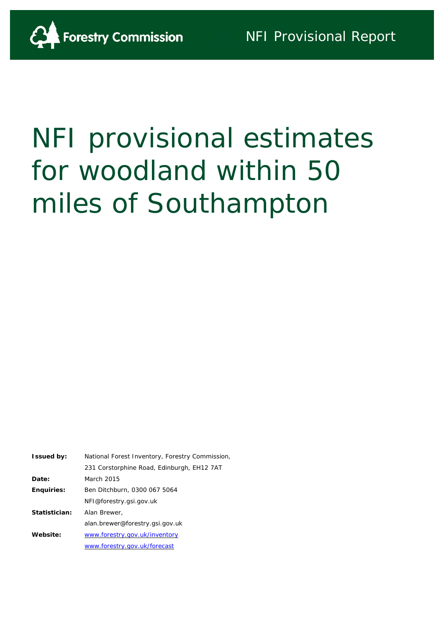

# NFI provisional estimates for woodland within 50 miles of Southampton

| <b>Issued by:</b> | National Forest Inventory, Forestry Commission, |  |  |  |
|-------------------|-------------------------------------------------|--|--|--|
|                   | 231 Corstorphine Road, Edinburgh, EH12 7AT      |  |  |  |
| Date:             | March 2015                                      |  |  |  |
| <b>Enquiries:</b> | Ben Ditchburn, 0300 067 5064                    |  |  |  |
|                   | NFI@forestry.gsi.gov.uk                         |  |  |  |
| Statistician:     | Alan Brewer,                                    |  |  |  |
|                   | alan.brewer@forestry.gsi.gov.uk                 |  |  |  |
| Website:          | www.forestry.gov.uk/inventory                   |  |  |  |
|                   | www.forestry.gov.uk/forecast                    |  |  |  |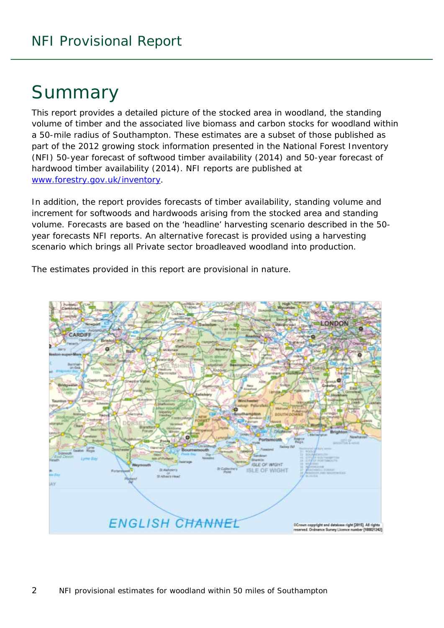# **Summary**

This report provides a detailed picture of the stocked area in woodland, the standing volume of timber and the associated live biomass and carbon stocks for woodland within a 50-mile radius of Southampton. These estimates are a subset of those published as part of the 2012 growing stock information presented in the National Forest Inventory (NFI) *50-year forecast of softwood timber availability* (2014) and *50-year forecast of hardwood timber availability* (2014). NFI reports are published at [www.forestry.gov.uk/inventory.](http://www.forestry.gov.uk/inventory)

In addition, the report provides forecasts of timber availability, standing volume and increment for softwoods and hardwoods arising from the stocked area and standing volume. Forecasts are based on the 'headline' harvesting scenario described in the 50 year forecasts NFI reports. An alternative forecast is provided using a harvesting scenario which brings all Private sector broadleaved woodland into production.

The estimates provided in this report are provisional in nature.

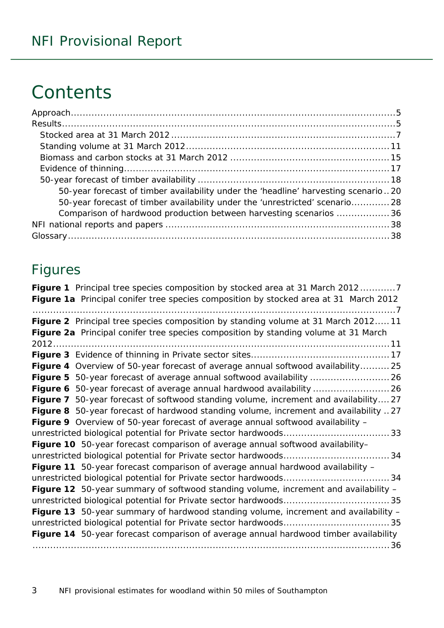# **Contents**

| 50-year forecast of timber availability under the 'headline' harvesting scenario20 |  |
|------------------------------------------------------------------------------------|--|
| 50-year forecast of timber availability under the 'unrestricted' scenario 28       |  |
| Comparison of hardwood production between harvesting scenarios 36                  |  |
|                                                                                    |  |
|                                                                                    |  |

### Figures

| Figure 1 Principal tree species composition by stocked area at 31 March 20127         |
|---------------------------------------------------------------------------------------|
| Figure 1a Principal conifer tree species composition by stocked area at 31 March 2012 |
|                                                                                       |
| Figure 2 Principal tree species composition by standing volume at 31 March 201211     |
| Figure 2a Principal conifer tree species composition by standing volume at 31 March   |
|                                                                                       |
|                                                                                       |
| Figure 4 Overview of 50-year forecast of average annual softwood availability 25      |
|                                                                                       |
|                                                                                       |
| Figure 7 50-year forecast of softwood standing volume, increment and availability27   |
| Figure 8 50-year forecast of hardwood standing volume, increment and availability 27  |
| Figure 9 Overview of 50-year forecast of average annual softwood availability -       |
|                                                                                       |
| Figure 10 50-year forecast comparison of average annual softwood availability-        |
|                                                                                       |
| Figure 11 50-year forecast comparison of average annual hardwood availability -       |
|                                                                                       |
| Figure 12 50-year summary of softwood standing volume, increment and availability -   |
|                                                                                       |
| Figure 13 50-year summary of hardwood standing volume, increment and availability -   |
|                                                                                       |
| Figure 14 50-year forecast comparison of average annual hardwood timber availability  |
|                                                                                       |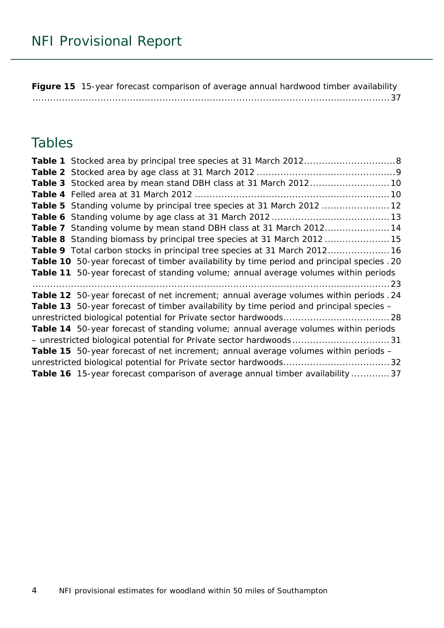**Figure 15** [15-year forecast comparison of average annual hardwood timber availability](#page-36-0) [.........................................................................................................................37](#page-36-0)

### Tables

| Table 5 Standing volume by principal tree species at 31 March 2012  12                         |  |
|------------------------------------------------------------------------------------------------|--|
|                                                                                                |  |
| Table 7 Standing volume by mean stand DBH class at 31 March 201214                             |  |
| Table 8 Standing biomass by principal tree species at 31 March 2012 15                         |  |
| Table 9 Total carbon stocks in principal tree species at 31 March 2012 16                      |  |
| Table 10 50-year forecast of timber availability by time period and principal species . 20     |  |
| Table 11 50-year forecast of standing volume; annual average volumes within periods            |  |
|                                                                                                |  |
| Table 12 50-year forecast of net increment; annual average volumes within periods . 24         |  |
| <b>Table 13</b> 50-year forecast of timber availability by time period and principal species – |  |
|                                                                                                |  |
| Table 14 50-year forecast of standing volume; annual average volumes within periods            |  |
|                                                                                                |  |
|                                                                                                |  |
| <b>Table 15</b> 50-year forecast of net increment; annual average volumes within periods -     |  |
|                                                                                                |  |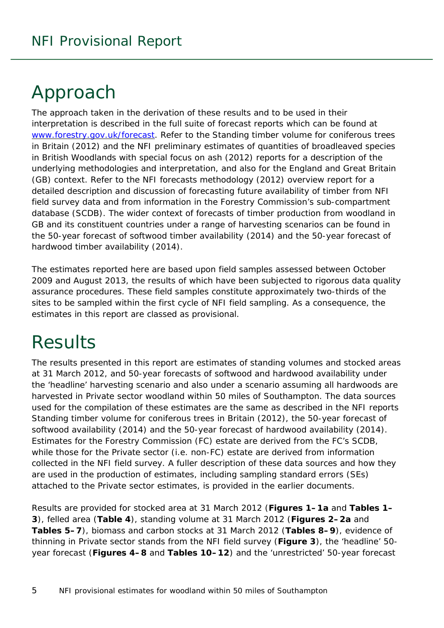# <span id="page-4-0"></span>Approach

<span id="page-4-1"></span>The approach taken in the derivation of these results and to be used in their interpretation is described in the full suite of forecast reports which can be found at [www.forestry.gov.uk/forecast.](http://www.forestry.gov.uk/forecast) Refer to the *Standing timber volume for coniferous trees in Britain* (2012) and the *NFI preliminary estimates of quantities of broadleaved species in British Woodlands with special focus on ash* (2012) reports for a description of the underlying methodologies and interpretation, and also for the England and Great Britain (GB) context. Refer to the *NFI forecasts methodology* (2012) overview report for a detailed description and discussion of forecasting future availability of timber from NFI field survey data and from information in the Forestry Commission's sub-compartment database (SCDB). The wider context of forecasts of timber production from woodland in GB and its constituent countries under a range of harvesting scenarios can be found in the *50-year forecast of softwood timber availability* (2014) and the *50-year forecast of hardwood timber availability* (2014).

The estimates reported here are based upon field samples assessed between October 2009 and August 2013, the results of which have been subjected to rigorous data quality assurance procedures. These field samples constitute approximately two-thirds of the sites to be sampled within the first cycle of NFI field sampling. As a consequence, the estimates in this report are classed as provisional.

# **Results**

The results presented in this report are estimates of standing volumes and stocked areas at 31 March 2012, and 50-year forecasts of softwood and hardwood availability under the 'headline' harvesting scenario and also under a scenario assuming all hardwoods are harvested in Private sector woodland within 50 miles of Southampton. The data sources used for the compilation of these estimates are the same as described in the NFI reports *Standing timber volume for coniferous trees in Britain* (2012), the *50-year forecast of softwood availability* (2014) and the *50-year forecast of hardwood availability* (2014). Estimates for the Forestry Commission (FC) estate are derived from the FC's SCDB, while those for the Private sector (i.e. non-FC) estate are derived from information collected in the NFI field survey. A fuller description of these data sources and how they are used in the production of estimates, including sampling standard errors (SEs) attached to the Private sector estimates, is provided in the earlier documents.

Results are provided for stocked area at 31 March 2012 (**Figures 1–1a** and **Tables 1– 3**), felled area (**Table 4**), standing volume at 31 March 2012 (**Figures 2–2a** and **Tables 5–7**), biomass and carbon stocks at 31 March 2012 (**Tables 8–9**), evidence of thinning in Private sector stands from the NFI field survey (**Figure 3**), the 'headline' 50 year forecast (**Figures 4–8** and **Tables 10–12**) and the 'unrestricted' 50-year forecast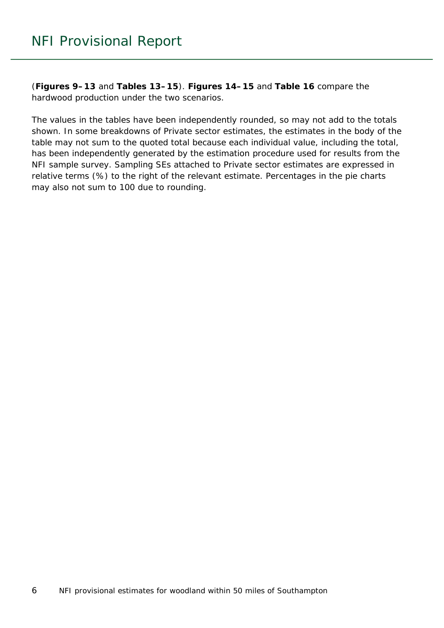(**Figures 9–13** and **Tables 13–15**). **Figures 14–15** and **Table 16** compare the hardwood production under the two scenarios.

The values in the tables have been independently rounded, so may not add to the totals shown. In some breakdowns of Private sector estimates, the estimates in the body of the table may not sum to the quoted total because each individual value, including the total, has been independently generated by the estimation procedure used for results from the NFI sample survey. Sampling SEs attached to Private sector estimates are expressed in relative terms (%) to the right of the relevant estimate. Percentages in the pie charts may also not sum to 100 due to rounding.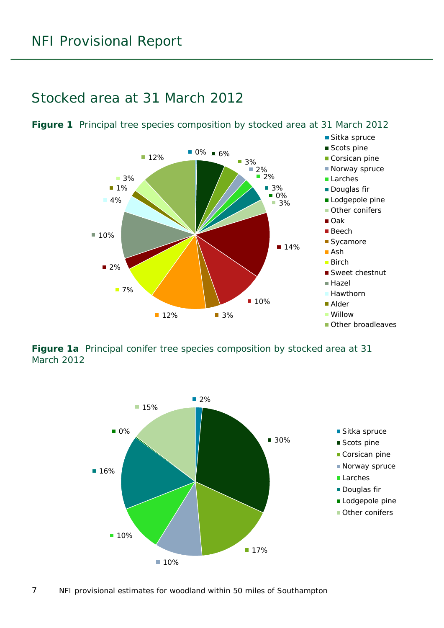#### <span id="page-6-0"></span>Stocked area at 31 March 2012



<span id="page-6-1"></span>**Figure 1** Principal tree species composition by stocked area at 31 March 2012

<span id="page-6-2"></span>**Figure 1a** Principal conifer tree species composition by stocked area at 31 March 2012

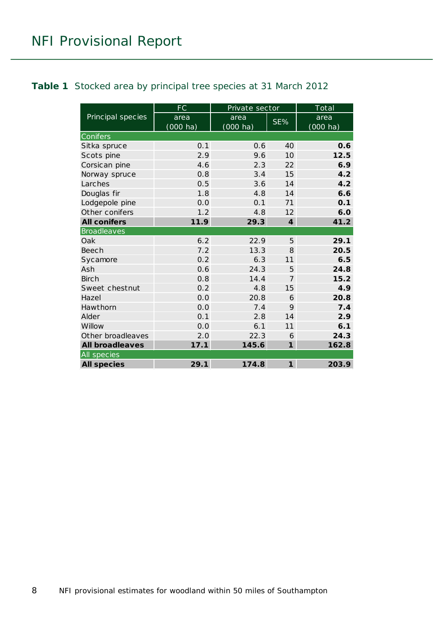#### <span id="page-7-0"></span>**Table 1** Stocked area by principal tree species at 31 March 2012

|                        | FC<br>Private sector |                    |                             | $\overline{\text{Total}}$ |
|------------------------|----------------------|--------------------|-----------------------------|---------------------------|
| Principal species      | area                 | area               | SE%                         | area                      |
|                        | $(000 \text{ ha})$   | $(000 \text{ ha})$ |                             | $(000 \text{ ha})$        |
| Conifers               |                      |                    |                             |                           |
| Sitka spruce           | 0.1                  | 0.6                | 40                          | 0.6                       |
| Scots pine             | 2.9                  | 9.6                | 10                          | 12.5                      |
| Corsican pine          | 4.6                  | 2.3                | 22                          | 6.9                       |
| Norway spruce          | 0.8                  | 3.4                | 15                          | 4.2                       |
| Larches                | 0.5                  | 3.6                | 14                          | 4.2                       |
| Douglas fir            | 1.8                  | 4.8                | 14                          | 6.6                       |
| Lodgepole pine         | 0.0                  | 0.1                | 71                          | 0.1                       |
| Other conifers         | 1.2                  | 4.8                | 12                          | 6.0                       |
| <b>All conifers</b>    | 11.9                 | 29.3               | $\overline{\boldsymbol{4}}$ | 41.2                      |
| <b>Broadleaves</b>     |                      |                    |                             |                           |
| Oak                    | 6.2                  | 22.9               | 5                           | 29.1                      |
| <b>Beech</b>           | 7.2                  | 13.3               | 8                           | 20.5                      |
| Sycamore               | 0.2                  | 6.3                | 11                          | 6.5                       |
| Ash                    | 0.6                  | 24.3               | 5                           | 24.8                      |
| <b>Birch</b>           | 0.8                  | 14.4               | $\overline{7}$              | 15.2                      |
| Sweet chestnut         | 0.2                  | 4.8                | 15                          | 4.9                       |
| Hazel                  | 0.0                  | 20.8               | 6                           | 20.8                      |
| Hawthorn               | 0.0                  | 7.4                | 9                           | 7.4                       |
| Alder                  | 0.1                  | 2.8                | 14                          | 2.9                       |
| Willow                 | 0.0                  | 6.1                | 11                          | 6.1                       |
| Other broadleaves      | 2.0                  | 22.3               | 6                           | 24.3                      |
| <b>All broadleaves</b> | 17.1                 | 145.6              | $\mathbf{1}$                | 162.8                     |
| All species            |                      |                    |                             |                           |
| <b>All species</b>     | 29.1                 | 174.8              | $\mathbf{1}$                | 203.9                     |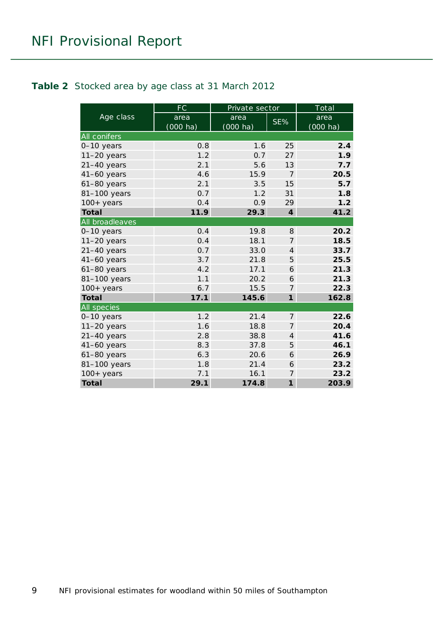#### <span id="page-8-0"></span>**Table 2** Stocked area by age class at 31 March 2012

|                     | FC         | Private sector |                             | Total              |
|---------------------|------------|----------------|-----------------------------|--------------------|
| Age class           | area       | area           | SE%                         | area               |
|                     | $(000$ ha) | $(000$ ha)     |                             | $(000 \text{ ha})$ |
| <b>All conifers</b> |            |                |                             |                    |
| 0-10 years          | 0.8        | 1.6            | 25                          | 2.4                |
| $11-20$ years       | 1.2        | 0.7            | 27                          | 1.9                |
| $21-40$ years       | 2.1        | 5.6            | 13                          | 7.7                |
| $41-60$ years       | 4.6        | 15.9           | $\overline{7}$              | 20.5               |
| $61-80$ years       | 2.1        | 3.5            | 15                          | 5.7                |
| 81-100 years        | 0.7        | 1.2            | 31                          | 1.8                |
| $100+$ years        | 0.4        | 0.9            | 29                          | 1.2                |
| <b>Total</b>        | 11.9       | 29.3           | $\overline{\boldsymbol{4}}$ | 41.2               |
| All broadleaves     |            |                |                             |                    |
| 0-10 years          | 0.4        | 19.8           | 8                           | 20.2               |
| $11-20$ years       | 0.4        | 18.1           | $\overline{7}$              | 18.5               |
| $21-40$ years       | 0.7        | 33.0           | $\overline{4}$              | 33.7               |
| $41-60$ years       | 3.7        | 21.8           | 5                           | 25.5               |
| $61-80$ years       | 4.2        | 17.1           | 6                           | 21.3               |
| 81-100 years        | 1.1        | 20.2           | 6                           | 21.3               |
| $100+$ years        | 6.7        | 15.5           | $\overline{7}$              | 22.3               |
| <b>Total</b>        | 17.1       | 145.6          | $\mathbf{1}$                | 162.8              |
| All species         |            |                |                             |                    |
| 0-10 years          | 1.2        | 21.4           | 7                           | 22.6               |
| $11-20$ years       | 1.6        | 18.8           | $\overline{7}$              | 20.4               |
| $21-40$ years       | 2.8        | 38.8           | $\overline{4}$              | 41.6               |
| $41-60$ years       | 8.3        | 37.8           | 5                           | 46.1               |
| $61-80$ years       | 6.3        | 20.6           | 6                           | 26.9               |
| 81-100 years        | 1.8        | 21.4           | 6                           | 23.2               |
| $100+$ years        | 7.1        | 16.1           | $\overline{7}$              | 23.2               |
| <b>Total</b>        | 29.1       | 174.8          | $\mathbf{1}$                | 203.9              |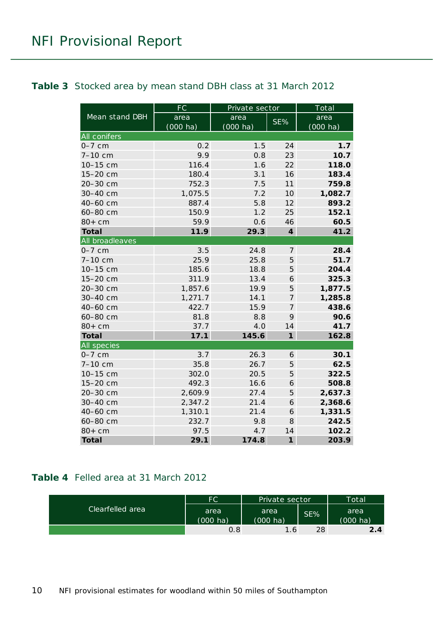#### <span id="page-9-0"></span>**Table 3** Stocked area by mean stand DBH class at 31 March 2012

|                     | FC         | Private sector     |                | Total              |
|---------------------|------------|--------------------|----------------|--------------------|
| Mean stand DBH      | area       | area               | SE%            | area               |
|                     | $(000$ ha) | $(000 \text{ ha})$ |                | $(000 \text{ ha})$ |
| <b>All conifers</b> |            |                    |                |                    |
| $0-7$ cm            | 0.2        | 1.5                | 24             | 1.7                |
| 7-10 cm             | 9.9        | 0.8                | 23             | 10.7               |
| 10-15 cm            | 116.4      | 1.6                | 22             | 118.0              |
| 15-20 cm            | 180.4      | 3.1                | 16             | 183.4              |
| 20-30 cm            | 752.3      | 7.5                | 11             | 759.8              |
| 30-40 cm            | 1,075.5    | 7.2                | 10             | 1,082.7            |
| 40-60 cm            | 887.4      | 5.8                | 12             | 893.2              |
| 60-80 cm            | 150.9      | 1.2                | 25             | 152.1              |
| $80+cm$             | 59.9       | 0.6                | 46             | 60.5               |
| <b>Total</b>        | 11.9       | 29.3               | $\overline{4}$ | 41.2               |
| All broadleaves     |            |                    |                |                    |
| $0-7$ cm            | 3.5        | 24.8               | $\overline{7}$ | 28.4               |
| 7-10 cm             | 25.9       | 25.8               | 5              | 51.7               |
| 10-15 cm            | 185.6      | 18.8               | 5              | 204.4              |
| 15-20 cm            | 311.9      | 13.4               | 6              | 325.3              |
| 20-30 cm            | 1,857.6    | 19.9               | 5              | 1,877.5            |
| 30-40 cm            | 1,271.7    | 14.1               | 7              | 1,285.8            |
| 40-60 cm            | 422.7      | 15.9               | 7              | 438.6              |
| 60-80 cm            | 81.8       | 8.8                | 9              | 90.6               |
| $80+cm$             | 37.7       | 4.0                | 14             | 41.7               |
| <b>Total</b>        | 17.1       | 145.6              | $\mathbf{1}$   | 162.8              |
| All species         |            |                    |                |                    |
| $0-7$ cm            | 3.7        | 26.3               | 6              | 30.1               |
| 7-10 cm             | 35.8       | 26.7               | 5              | 62.5               |
| 10-15 cm            | 302.0      | 20.5               | 5              | 322.5              |
| 15-20 cm            | 492.3      | 16.6               | 6              | 508.8              |
| 20-30 cm            | 2,609.9    | 27.4               | 5              | 2,637.3            |
| 30-40 cm            | 2,347.2    | 21.4               | 6              | 2,368.6            |
| 40-60 cm            | 1,310.1    | 21.4               | 6              | 1,331.5            |
| 60-80 cm            | 232.7      | 9.8                | 8              | 242.5              |
| $80+cm$             | 97.5       | 4.7                | 14             | 102.2              |
| <b>Total</b>        | 29.1       | 174.8              | $\mathbf{1}$   | 203.9              |

#### <span id="page-9-1"></span>**Table 4** Felled area at 31 March 2012

| Clearfelled area | FC                 | Private sector     |     | Total    |
|------------------|--------------------|--------------------|-----|----------|
|                  | area               | area               | SE% | area     |
|                  | $(000 \text{ ha})$ | $(000 \text{ ha})$ |     | (000 ha) |
|                  | 0.8                | 1.6                | 28  | 2.4      |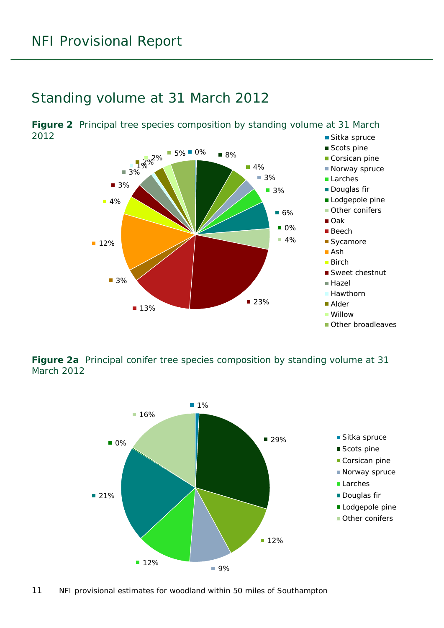### <span id="page-10-0"></span>Standing volume at 31 March 2012

<span id="page-10-1"></span>■ Sitka spruce **Figure 2** Principal tree species composition by standing volume at 31 March 2012



<span id="page-10-2"></span>**Figure 2a** Principal conifer tree species composition by standing volume at 31 March 2012

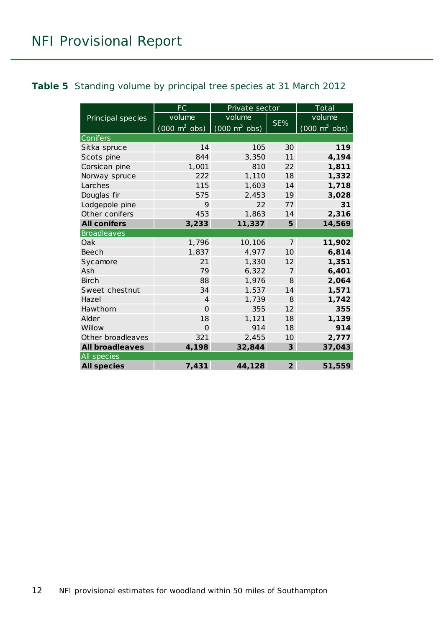#### <span id="page-11-0"></span>**Table 5** Standing volume by principal tree species at 31 March 2012

|                        | <b>FC</b>                       | Private sector                      |                | Total                               |
|------------------------|---------------------------------|-------------------------------------|----------------|-------------------------------------|
| Principal species      | volume                          | volume                              |                | volume                              |
|                        | $(000 \text{ m}^3 \text{ obs})$ | $(000 \; \text{m}^3 \; \text{obs})$ | SE%            | $(000 \; \text{m}^3 \; \text{obs})$ |
| Conifers               |                                 |                                     |                |                                     |
| Sitka spruce           | 14                              | 105                                 | 30             | 119                                 |
| Scots pine             | 844                             | 3,350                               | 11             | 4,194                               |
| Corsican pine          | 1,001                           | 810                                 | 22             | 1,811                               |
| Norway spruce          | 222                             | 1,110                               | 18             | 1,332                               |
| Larches                | 115                             | 1,603                               | 14             | 1,718                               |
| Douglas fir            | 575                             | 2,453                               | 19             | 3,028                               |
| Lodgepole pine         | 9                               | 22                                  | 77             | 31                                  |
| Other conifers         | 453                             | 1,863                               | 14             | 2,316                               |
| <b>All conifers</b>    | 3,233                           | 11,337                              | 5              | 14,569                              |
| <b>Broadleaves</b>     |                                 |                                     |                |                                     |
| Oak                    | 1,796                           | 10,106                              | $\overline{7}$ | 11,902                              |
| Beech                  | 1,837                           | 4,977                               | 10             | 6,814                               |
| Sycamore               | 21                              | 1,330                               | 12             | 1,351                               |
| Ash                    | 79                              | 6,322                               | $\overline{7}$ | 6,401                               |
| <b>Birch</b>           | 88                              | 1,976                               | 8              | 2,064                               |
| Sweet chestnut         | 34                              | 1,537                               | 14             | 1,571                               |
| Hazel                  | $\overline{4}$                  | 1,739                               | 8              | 1,742                               |
| Hawthorn               | $\Omega$                        | 355                                 | 12             | 355                                 |
| Alder                  | 18                              | 1,121                               | 18             | 1,139                               |
| Willow                 | $\Omega$                        | 914                                 | 18             | 914                                 |
| Other broadleaves      | 321                             | 2,455                               | 10             | 2,777                               |
| <b>All broadleaves</b> | 4,198                           | 32,844                              | 3              | 37,043                              |
| All species            |                                 |                                     |                |                                     |
| <b>All species</b>     | 7,431                           | 44,128                              | $\overline{2}$ | 51,559                              |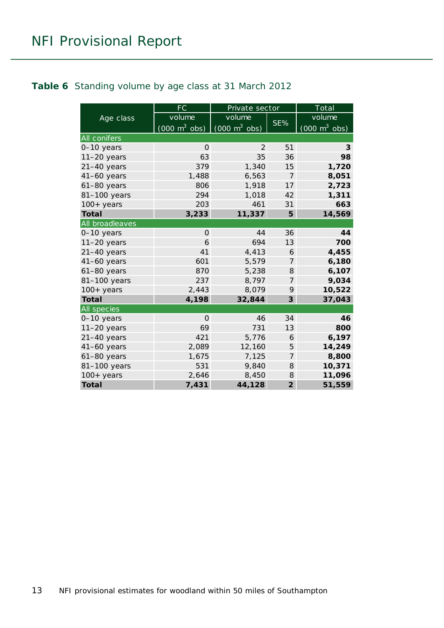#### <span id="page-12-0"></span>**Table 6** Standing volume by age class at 31 March 2012

|                 | <b>FC</b>                       | Private sector                  |                | Total                           |
|-----------------|---------------------------------|---------------------------------|----------------|---------------------------------|
| Age class       | volume                          | volume                          |                | volume                          |
|                 | $(000 \text{ m}^3 \text{ obs})$ | $(000 \text{ m}^3 \text{ obs})$ | SE%            | $(000 \text{ m}^3 \text{ obs})$ |
| All conifers    |                                 |                                 |                |                                 |
| 0-10 years      | $\Omega$                        | 2                               | 51             | 3                               |
| $11-20$ years   | 63                              | 35                              | 36             | 98                              |
| $21-40$ years   | 379                             | 1,340                           | 15             | 1,720                           |
| $41-60$ years   | 1,488                           | 6,563                           | $\overline{7}$ | 8,051                           |
| $61-80$ years   | 806                             | 1,918                           | 17             | 2,723                           |
| 81-100 years    | 294                             | 1,018                           | 42             | 1,311                           |
| $100+$ years    | 203                             | 461                             | 31             | 663                             |
| <b>Total</b>    | 3,233                           | 11,337                          | 5              | 14,569                          |
| All broadleaves |                                 |                                 |                |                                 |
| $0-10$ years    | $\Omega$                        | 44                              | 36             | 44                              |
| $11-20$ years   | 6                               | 694                             | 13             | 700                             |
| $21-40$ years   | 41                              | 4,413                           | 6              | 4,455                           |
| 41-60 years     | 601                             | 5,579                           | $\overline{7}$ | 6,180                           |
| 61-80 years     | 870                             | 5,238                           | 8              | 6,107                           |
| 81-100 years    | 237                             | 8,797                           | $\overline{7}$ | 9,034                           |
| $100+$ years    | 2,443                           | 8,079                           | 9              | 10,522                          |
| <b>Total</b>    | 4,198                           | 32,844                          | 3              | 37,043                          |
| All species     |                                 |                                 |                |                                 |
| $0-10$ years    | $\Omega$                        | 46                              | 34             | 46                              |
| $11-20$ years   | 69                              | 731                             | 13             | 800                             |
| $21-40$ years   | 421                             | 5,776                           | 6              | 6,197                           |
| 41-60 years     | 2,089                           | 12,160                          | 5              | 14,249                          |
| $61-80$ years   | 1,675                           | 7,125                           | $\overline{7}$ | 8,800                           |
| 81-100 years    | 531                             | 9,840                           | 8              | 10,371                          |
| 100+ years      | 2,646                           | 8,450                           | 8              | 11,096                          |
| <b>Total</b>    | 7,431                           | 44,128                          | $\overline{2}$ | 51,559                          |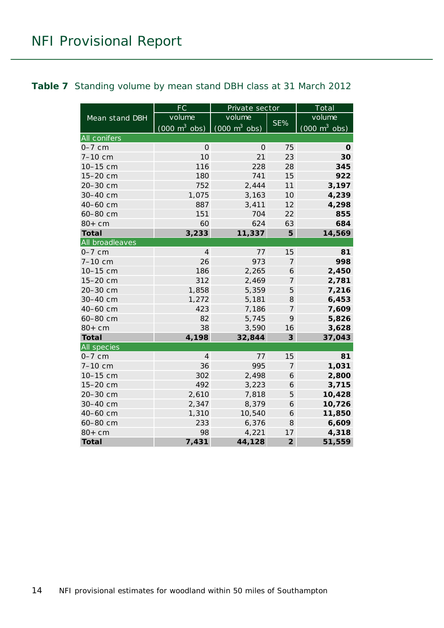#### <span id="page-13-0"></span>**Table 7** Standing volume by mean stand DBH class at 31 March 2012

|                     | <b>FC</b>                       | Private sector                  |                | Total                           |
|---------------------|---------------------------------|---------------------------------|----------------|---------------------------------|
| Mean stand DBH      | volume                          | volume                          |                | volume                          |
|                     | $(000 \text{ m}^3 \text{ obs})$ | $(000 \text{ m}^3 \text{ obs})$ | SE%            | $(000 \text{ m}^3 \text{ obs})$ |
| <b>All conifers</b> |                                 |                                 |                |                                 |
| $0-7$ cm            | $\Omega$                        | $\Omega$                        | 75             | 0                               |
| 7-10 cm             | 10                              | 21                              | 23             | 30                              |
| 10-15 cm            | 116                             | 228                             | 28             | 345                             |
| 15-20 cm            | 180                             | 741                             | 15             | 922                             |
| 20-30 cm            | 752                             | 2,444                           | 11             | 3,197                           |
| 30-40 cm            | 1,075                           | 3,163                           | 10             | 4,239                           |
| 40-60 cm            | 887                             | 3,411                           | 12             | 4,298                           |
| 60-80 cm            | 151                             | 704                             | 22             | 855                             |
| $80+cm$             | 60                              | 624                             | 63             | 684                             |
| <b>Total</b>        | 3,233                           | 11,337                          | 5              | 14,569                          |
| All broadleaves     |                                 |                                 |                |                                 |
| $0-7$ cm            | $\overline{4}$                  | 77                              | 15             | 81                              |
| 7-10 cm             | 26                              | 973                             | $\overline{7}$ | 998                             |
| 10-15 cm            | 186                             | 2,265                           | 6              | 2,450                           |
| 15-20 cm            | 312                             | 2,469                           | 7              | 2,781                           |
| 20-30 cm            | 1,858                           | 5,359                           | 5              | 7,216                           |
| 30-40 cm            | 1,272                           | 5,181                           | 8              | 6,453                           |
| 40-60 cm            | 423                             | 7,186                           | 7              | 7,609                           |
| 60-80 cm            | 82                              | 5,745                           | 9              | 5,826                           |
| $80+cm$             | 38                              | 3,590                           | 16             | 3,628                           |
| <b>Total</b>        | 4,198                           | 32,844                          | 3              | 37,043                          |
| All species         |                                 |                                 |                |                                 |
| $0-7$ cm            | 4                               | 77                              | 15             | 81                              |
| 7-10 cm             | 36                              | 995                             | 7              | 1,031                           |
| 10-15 cm            | 302                             | 2,498                           | 6              | 2,800                           |
| 15-20 cm            | 492                             | 3,223                           | 6              | 3,715                           |
| 20-30 cm            | 2,610                           | 7,818                           | $\sqrt{5}$     | 10,428                          |
| 30-40 cm            | 2,347                           | 8,379                           | 6              | 10,726                          |
| 40-60 cm            | 1,310                           | 10,540                          | 6              | 11,850                          |
| 60-80 cm            | 233                             | 6,376                           | 8              | 6,609                           |
| $80+cm$             | 98                              | 4,221                           | 17             | 4,318                           |
| <b>Total</b>        | 7,431                           | 44,128                          | $\overline{2}$ | 51,559                          |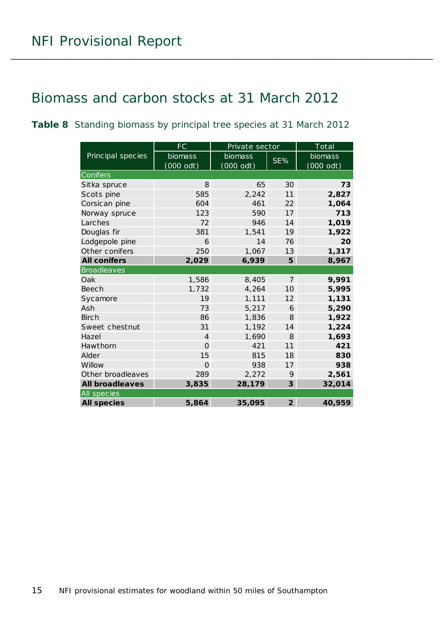### <span id="page-14-0"></span>Biomass and carbon stocks at 31 March 2012

<span id="page-14-1"></span>**Table 8** Standing biomass by principal tree species at 31 March 2012

|                        | FC             | Private sector |                | Total       |
|------------------------|----------------|----------------|----------------|-------------|
| Principal species      | biomass        | biomass        | SE%            | biomass     |
|                        | $(000$ odt)    | $(000$ odt)    |                | $(000$ odt) |
| Conifers               |                |                |                |             |
| Sitka spruce           | 8              | 65             | 30             | 73          |
| Scots pine             | 585            | 2,242          | 11             | 2,827       |
| Corsican pine          | 604            | 461            | 22             | 1,064       |
| Norway spruce          | 123            | 590            | 17             | 713         |
| Larches                | 72             | 946            | 14             | 1,019       |
| Douglas fir            | 381            | 1,541          | 19             | 1,922       |
| Lodgepole pine         | 6              | 14             | 76             | 20          |
| Other conifers         | 250            | 1,067          | 13             | 1,317       |
| <b>All conifers</b>    | 2,029          | 6,939          | 5              | 8,967       |
| <b>Broadleaves</b>     |                |                |                |             |
| Oak                    | 1,586          | 8,405          | $\overline{7}$ | 9,991       |
| Beech                  | 1,732          | 4,264          | 10             | 5,995       |
| Sycamore               | 19             | 1,111          | 12             | 1,131       |
| Ash                    | 73             | 5,217          | 6              | 5,290       |
| <b>Birch</b>           | 86             | 1,836          | 8              | 1,922       |
| Sweet chestnut         | 31             | 1,192          | 14             | 1,224       |
| Hazel                  | $\overline{4}$ | 1,690          | $\mathcal{B}$  | 1,693       |
| Hawthorn               | $\Omega$       | 421            | 11             | 421         |
| Alder                  | 15             | 815            | 18             | 830         |
| Willow                 | $\Omega$       | 938            | 17             | 938         |
| Other broadleaves      | 289            | 2,272          | 9              | 2,561       |
| <b>All broadleaves</b> | 3,835          | 28,179         | $\overline{3}$ | 32,014      |
| All species            |                |                |                |             |
| <b>All species</b>     | 5,864          | 35,095         | $\overline{2}$ | 40,959      |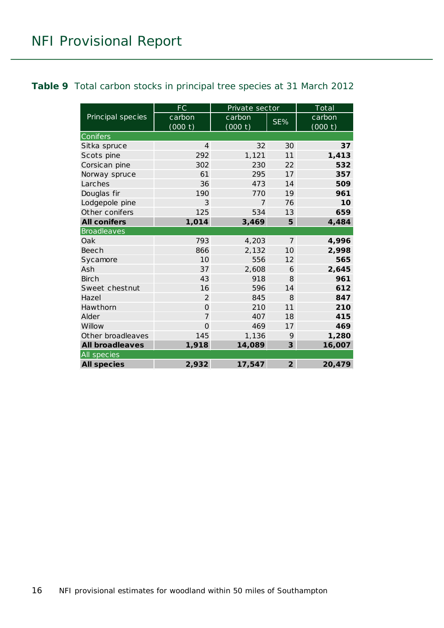#### <span id="page-15-0"></span>**Table 9** Total carbon stocks in principal tree species at 31 March 2012

|                        | FC             | Private sector |                | $Tot$ al |  |  |
|------------------------|----------------|----------------|----------------|----------|--|--|
| Principal species      | carbon         | carbon         | SE%            | carbon   |  |  |
|                        | (000 t)        | (000 t)        |                | (000 t)  |  |  |
| Conifers               |                |                |                |          |  |  |
| Sitka spruce           | $\overline{4}$ | 32             | 30             | 37       |  |  |
| Scots pine             | 292            | 1,121          | 11             | 1,413    |  |  |
| Corsican pine          | 302            | 230            | 22             | 532      |  |  |
| Norway spruce          | 61             | 295            | 17             | 357      |  |  |
| Larches                | 36             | 473            | 14             | 509      |  |  |
| Douglas fir            | 190            | 770            | 19             | 961      |  |  |
| Lodgepole pine         | 3              | $\overline{7}$ | 76             | 10       |  |  |
| Other conifers         | 125            | 534            | 13             | 659      |  |  |
| <b>All conifers</b>    | 1,014          | 3,469          | 5              | 4,484    |  |  |
| <b>Broadleaves</b>     |                |                |                |          |  |  |
| Oak                    | 793            | 4,203          | $\overline{7}$ | 4,996    |  |  |
| <b>Beech</b>           | 866            | 2,132          | 10             | 2,998    |  |  |
| Sycamore               | 10             | 556            | 12             | 565      |  |  |
| Ash                    | 37             | 2,608          | 6              | 2,645    |  |  |
| <b>Birch</b>           | 43             | 918            | 8              | 961      |  |  |
| Sweet chestnut         | 16             | 596            | 14             | 612      |  |  |
| Hazel                  | 2              | 845            | $\mathcal{B}$  | 847      |  |  |
| Hawthorn               | $\Omega$       | 210            | 11             | 210      |  |  |
| Alder                  | $\overline{7}$ | 407            | 18             | 415      |  |  |
| Willow                 | $\mathbf 0$    | 469            | 17             | 469      |  |  |
| Other broadleaves      | 145            | 1,136          | 9              | 1,280    |  |  |
| <b>All broadleaves</b> | 1,918          | 14,089         | $\mathbf{3}$   | 16,007   |  |  |
| All species            |                |                |                |          |  |  |
| <b>All species</b>     | 2,932          | 17,547         | $\overline{2}$ | 20,479   |  |  |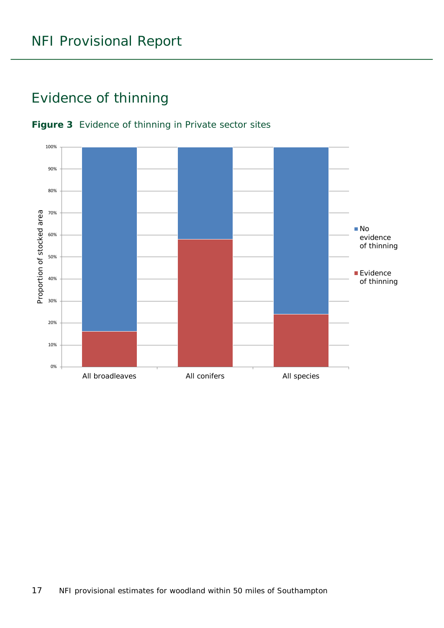### <span id="page-16-0"></span>Evidence of thinning



#### <span id="page-16-1"></span>**Figure 3** Evidence of thinning in Private sector sites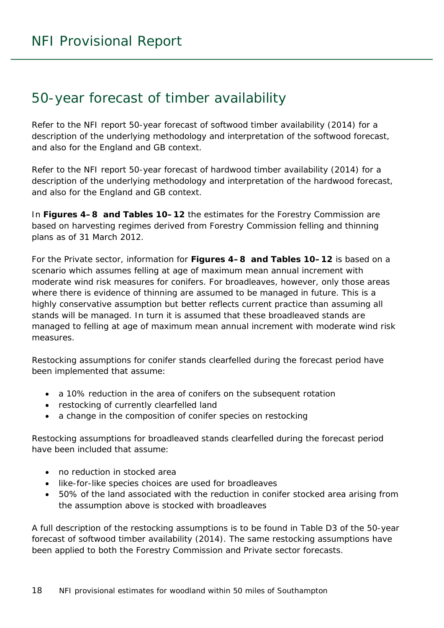### <span id="page-17-0"></span>50-year forecast of timber availability

Refer to the NFI report *50-year forecast of softwood timber availability* (2014) for a description of the underlying methodology and interpretation of the softwood forecast, and also for the England and GB context.

Refer to the NFI report *50-year forecast of hardwood timber availability* (2014) for a description of the underlying methodology and interpretation of the hardwood forecast, and also for the England and GB context.

In **Figures 4–8 and Tables 10–12** the estimates for the Forestry Commission are based on harvesting regimes derived from Forestry Commission felling and thinning plans as of 31 March 2012.

For the Private sector, information for **Figures 4–8 and Tables 10–12** is based on a scenario which assumes felling at age of maximum mean annual increment with moderate wind risk measures for conifers. For broadleaves, however, only those areas where there is evidence of thinning are assumed to be managed in future. This is a highly conservative assumption but better reflects current practice than assuming all stands will be managed. In turn it is assumed that these broadleaved stands are managed to felling at age of maximum mean annual increment with moderate wind risk measures.

Restocking assumptions for conifer stands clearfelled during the forecast period have been implemented that assume:

- a 10% reduction in the area of conifers on the subsequent rotation
- restocking of currently clearfelled land
- a change in the composition of conifer species on restocking

Restocking assumptions for broadleaved stands clearfelled during the forecast period have been included that assume:

- no reduction in stocked area
- like-for-like species choices are used for broadleaves
- 50% of the land associated with the reduction in conifer stocked area arising from the assumption above is stocked with broadleaves

A full description of the restocking assumptions is to be found in Table D3 of the *50-year forecast of softwood timber availability* (2014). The same restocking assumptions have been applied to both the Forestry Commission and Private sector forecasts.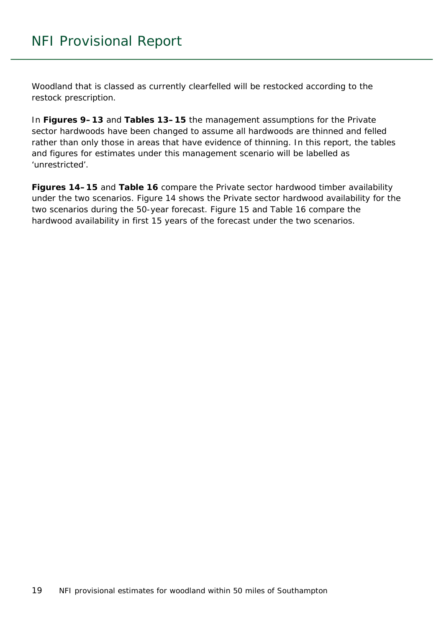Woodland that is classed as currently clearfelled will be restocked according to the restock prescription.

In **Figures 9–13** and **Tables 13–15** the management assumptions for the Private sector hardwoods have been changed to assume all hardwoods are thinned and felled rather than only those in areas that have evidence of thinning. In this report, the tables and figures for estimates under this management scenario will be labelled as 'unrestricted'.

**Figures 14–15** and **Table 16** compare the Private sector hardwood timber availability under the two scenarios. Figure 14 shows the Private sector hardwood availability for the two scenarios during the 50-year forecast. Figure 15 and Table 16 compare the hardwood availability in first 15 years of the forecast under the two scenarios.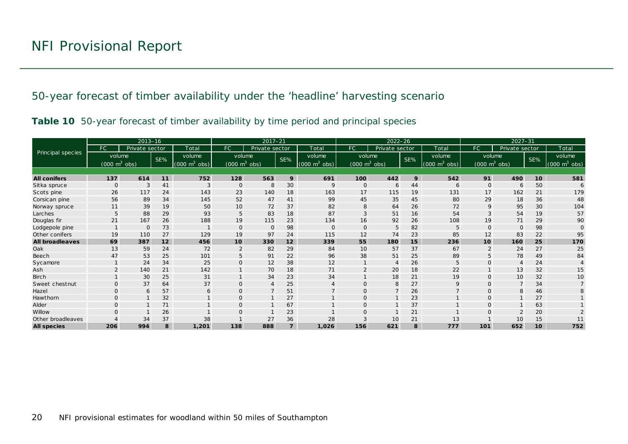50-year forecast of timber availability under the 'headline' harvesting scenario

|  |  | Table 10 50-year forecast of timber availability by time period and principal species |  |  |
|--|--|---------------------------------------------------------------------------------------|--|--|
|  |  |                                                                                       |  |  |

<span id="page-19-0"></span>

|                        |                                     | $2013 - 16$    |     |                                 | $2017 - 21$<br>$2022 - 26$      |                |                |                             | $2027 - 31$                     |                |     |                                 |                                 |                |                  |                                 |
|------------------------|-------------------------------------|----------------|-----|---------------------------------|---------------------------------|----------------|----------------|-----------------------------|---------------------------------|----------------|-----|---------------------------------|---------------------------------|----------------|------------------|---------------------------------|
|                        | FC.                                 | Private sector |     | Total                           | FC                              | Private sector |                | Total                       | FC.                             | Private sector |     | Total                           | FC                              | Private sector |                  | Total                           |
| Principal species      | volume                              |                | SE% | volume                          | volume                          |                | SE%            | volume                      | volume                          |                | SE% | volume                          | volume                          |                | SE%              | volume                          |
|                        | $(000 \; \text{m}^3 \; \text{obs})$ |                |     | $(000 \text{ m}^3 \text{ obs})$ | $(000 \text{ m}^3 \text{ obs})$ |                |                | $(000 \text{ m}^3)$<br>obs) | $(000 \text{ m}^3 \text{ obs})$ |                |     | $(000 \text{ m}^3 \text{ obs})$ | $(000 \text{ m}^3 \text{ obs})$ |                |                  | $(000 \text{ m}^3 \text{ obs})$ |
|                        |                                     |                |     |                                 |                                 |                |                |                             |                                 |                |     |                                 |                                 |                |                  |                                 |
| <b>All conifers</b>    | 137                                 | 614            | 11  | 752                             | 128                             | 563            | 9              | 691                         | 100                             | 442            | 9   | 542                             | 91                              | 490            | 10 <sup>10</sup> | 581                             |
| Sitka spruce           | $\Omega$                            | 3              | 41  | 3                               | $\overline{0}$                  | 8              | 30             | 9                           | $\mathbf{O}$                    | 6              | 44  | 6                               | $\overline{0}$                  | 6              | 50               |                                 |
| Scots pine             | 26                                  | 117            | 24  | 143                             | 23                              | 140            | 18             | 163                         | 17                              | 115            | 19  | 131                             | 17                              | 162            | 21               | 179                             |
| Corsican pine          | 56                                  | 89             | 34  | 145                             | 52                              | 47             | 41             | 99                          | 45                              | 35             | 45  | 80                              | 29                              | 18             | 36               | 48                              |
| Norway spruce          | 11                                  | 39             | 19  | 50                              | 10                              | 72             | 37             | 82                          | 8                               | 64             | 26  | 72                              | 9                               | 95             | 30               | 104                             |
| Larches                | 5                                   | 88             | 29  | 93                              | 5                               | 83             | 18             | 87                          | 3                               | 51             | 16  | 54                              | 3                               | 54             | 19               | 57                              |
| Douglas fir            | 21                                  | 167            | 26  | 188                             | 19                              | 115            | 23             | 134                         | 16                              | 92             | 26  | 108                             | 19                              | 71             | 29               | 90                              |
| Lodgepole pine         |                                     | $\Omega$       | 73  |                                 | $\mathbf{O}$                    | $\Omega$       | 98             | $\mathbf 0$                 | $\Omega$                        | 5              | 82  | 5                               | $\Omega$                        | $\Omega$       | 98               |                                 |
| Other conifers         | 19                                  | 110            | 27  | 129                             | 19                              | 97             | 24             | 115                         | 12                              | 74             | 23  | 85                              | 12                              | 83             | 22               | 95                              |
| <b>All broadleaves</b> | 69                                  | 387            | 12  | 456                             | 10                              | 330            | 12             | 339                         | 55                              | 180            | 15  | 236                             | 10                              | 160            | 25               | 170                             |
| Oak                    | 13                                  | 59             | 24  | 72                              | $\overline{2}$                  | 82             | 29             | 84                          | 10                              | 57             | 37  | 67                              | $\overline{2}$                  | 24             | 27               | 25                              |
| Beech                  | 47                                  | 53             | 25  | 101                             | 5                               | 91             | 22             | 96                          | 38                              | 51             | 25  | 89                              | 5                               | 78             | 49               | 84                              |
| Sycamore               |                                     | 24             | 34  | 25                              | $\mathbf{O}$                    | 12             | 38             | 12                          |                                 | $\overline{4}$ | 26  | 5                               | $\Omega$                        |                | 24               |                                 |
| Ash                    |                                     | 140            | 21  | 142                             |                                 | 70             | 18             | 71                          |                                 | 20             | 18  | 22                              |                                 | 13             | 32               | 15                              |
| <b>Birch</b>           |                                     | 30             | 25  | 31                              |                                 | 34             | 23             | 34                          |                                 | 18             | 21  | 19                              | $\Omega$                        | 10             | 32               | 10                              |
| Sweet chestnut         | $\Omega$                            | 37             | 64  | 37                              | $\Omega$                        | $\overline{4}$ | 25             | $\overline{4}$              |                                 | 8              | 27  | 9                               | $\Omega$                        |                | 34               |                                 |
| Hazel                  | $\mathbf{O}$                        | 6              | 57  | 6                               | $\mathbf{O}$                    | $\overline{7}$ | 51             |                             | $\Omega$                        | $\overline{7}$ | 26  |                                 | $\Omega$                        | 8              | 46               |                                 |
| Hawthorn               | $\mathbf{O}$                        |                | 32  |                                 | $\mathbf{O}$                    |                | 27             |                             |                                 |                | 23  |                                 | $\Omega$                        |                | 27               |                                 |
| Alder                  | O                                   |                | 71  |                                 | $\Omega$                        |                | 67             |                             | $\Omega$                        |                | 37  |                                 | $\Omega$                        |                | 63               |                                 |
| Willow                 |                                     |                | 26  |                                 | $\Omega$                        |                | 23             |                             |                                 |                | 21  |                                 | $\mathcal{C}$                   |                | 20               |                                 |
| Other broadleaves      |                                     | 34             | 37  | 38                              |                                 | 27             | 36             | 28                          |                                 | 10             | 21  | 13                              |                                 | 10             | 15               | 11                              |
| <b>All species</b>     | 206                                 | 994            | 8   | 1,201                           | 138                             | 888            | $\overline{7}$ | 1,026                       | 156                             | 621            | 8   | 777                             | 101                             | 652            | 10               | 752                             |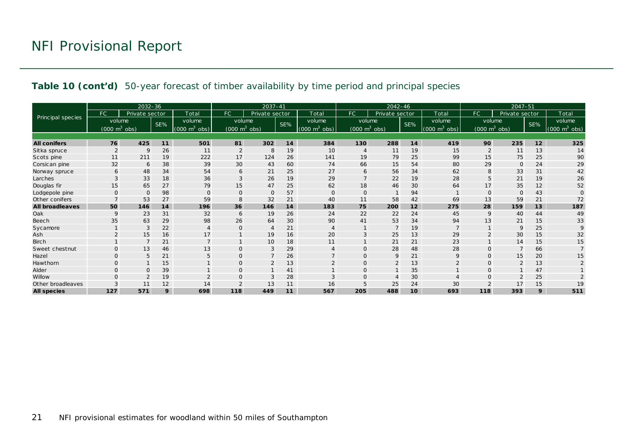#### **Table 10 (cont'd)** 50-year forecast of timber availability by time period and principal species

|                        |                                     | 2032-36        |     |                               |                                 | $2037 - 41$    |     |                                 | $2042 - 46$                     |                |     |                                 | $2047 - 51$                     |                |     |                                 |
|------------------------|-------------------------------------|----------------|-----|-------------------------------|---------------------------------|----------------|-----|---------------------------------|---------------------------------|----------------|-----|---------------------------------|---------------------------------|----------------|-----|---------------------------------|
|                        | FC                                  | Private sector |     | Total                         | <b>FC</b>                       | Private sector |     | Total                           | FC.                             | Private sector |     | Total                           | FC.                             | Private sector |     | Total                           |
| Principal species      | volume                              |                | SE% | volume                        | volume                          |                | SE% | volume                          | volume                          |                | SE% | volume                          | volume                          |                | SE% | volume                          |
|                        | $(000 \; \text{m}^3 \; \text{obs})$ |                |     | $(000 \; \text{m}^3)$<br>obs) | $(000 \text{ m}^3 \text{ obs})$ |                |     | $(000 \text{ m}^3 \text{ obs})$ | $(000 \text{ m}^3 \text{ obs})$ |                |     | $(000 \text{ m}^3 \text{ obs})$ | $(000 \text{ m}^3 \text{ obs})$ |                |     | $(000 \text{ m}^3 \text{ obs})$ |
|                        |                                     |                |     |                               |                                 |                |     |                                 |                                 |                |     |                                 |                                 |                |     |                                 |
| <b>All conifers</b>    | 76                                  | 425            | 11  | 501                           | 81                              | 302            | 14  | 384                             | 130                             | 288            | 14  | 419                             | 90                              | 235            | 12  | 325                             |
| Sitka spruce           | $\overline{2}$                      | 9              | 26  | 11                            | $\overline{2}$                  | 8              | 19  | 10                              |                                 | 11             | 19  | 15                              | $\overline{2}$                  | 11             | 13  | 14                              |
| Scots pine             | 11                                  | 211            | 19  | 222                           | 17                              | 124            | 26  | 141                             | 19                              | 79             | 25  | 99                              | 15                              | 75             | 25  | 90                              |
| Corsican pine          | 32                                  | 6              | 38  | 39                            | 30                              | 43             | 60  | 74                              | 66                              | 15             | 54  | 80                              | 29                              | $\mathbf{O}$   | 24  | 29                              |
| Norway spruce          | 6                                   | 48             | 34  | 54                            | 6                               | 21             | 25  | 27                              | 6                               | 56             | 34  | 62                              | 8                               | 33             | 31  | 42                              |
| Larches                |                                     | 33             | 18  | 36                            | 3                               | 26             | 19  | 29                              |                                 | 22             | 19  | 28                              | 5                               | 21             | 19  | 26                              |
| Douglas fir            | 15                                  | 65             | 27  | 79                            | 15                              | 47             | 25  | 62                              | 18                              | 46             | 30  | 64                              | 17                              | 35             | 12  | 52                              |
| Lodgepole pine         | $\Omega$                            | $\Omega$       | 98  | $\Omega$                      | $\Omega$                        | $\mathbf{O}$   | 57  | $\mathbf 0$                     | $\Omega$                        |                | 94  |                                 | $\Omega$                        | $\Omega$       | 43  | $\Omega$                        |
| Other conifers         |                                     | 53             | 27  | 59                            | 8                               | 32             | 21  | 40                              | 11                              | 58             | 42  | 69                              | 13                              | 59             | 21  | 72                              |
| <b>All broadleaves</b> | 50                                  | 146            | 14  | 196                           | 36                              | 146            | 14  | 183                             | 75                              | 200            | 12  | 275                             | 28                              | 159            | 13  | 187                             |
| Oak                    | 9                                   | 23             | 31  | 32                            | 6                               | 19             | 26  | 24                              | 22                              | 22             | 24  | 45                              | 9                               | 40             | 44  | 49                              |
| Beech                  | 35                                  | 63             | 29  | 98                            | 26                              | 64             | 30  | 90                              | 41                              | 53             | 34  | 94                              | 13                              | 21             | 15  | 33                              |
| Sycamore               |                                     | 3              | 22  |                               | $\Omega$                        | $\overline{4}$ | 21  | $\overline{4}$                  |                                 | $\overline{7}$ | 19  |                                 |                                 | 9              | 25  | $\mathsf Q$                     |
| Ash                    |                                     | 15             | 16  | 17                            |                                 | 19             | 16  | 20                              |                                 | 25             | 13  | 29                              | $\overline{2}$                  | 30             | 15  | 32                              |
| <b>Birch</b>           |                                     |                | 21  |                               |                                 | 10             | 18  | 11                              |                                 | 21             | 21  | 23                              |                                 | 14             | 15  | 15                              |
| Sweet chestnut         | $\Omega$                            | 13             | 46  | 13                            | $\mathbf{O}$                    | 3              | 29  | $\overline{4}$                  | $\Omega$                        | 28             | 48  | 28                              | $\Omega$                        |                | 66  |                                 |
| Hazel                  | $\Omega$                            | 5              | 21  |                               | $\Omega$                        | $\overline{7}$ | 26  | $\overline{7}$                  |                                 | 9              | 21  | 9                               | $\overline{0}$                  | 15             | 20  | 15                              |
| Hawthorn               | $\mathbf{O}$                        |                | 15  |                               | $\mathbf{O}$                    | 2              | 13  | $\overline{2}$                  | $\mathsf{O}$                    | 2              | 13  | $\overline{2}$                  | $\circ$                         | $\overline{2}$ | 13  | $\overline{2}$                  |
| Alder                  | $\Omega$                            | $\Omega$       | 39  |                               | $\Omega$                        |                | 41  |                                 | $\Omega$                        |                | 35  |                                 | $\Omega$                        |                | 47  |                                 |
| Willow                 | $\Omega$                            |                | 19  |                               | $\Omega$                        | 3              | 28  | 3                               |                                 |                | 30  |                                 | $\Omega$                        |                | 25  |                                 |
| Other broadleaves      |                                     | 11             | 12  | 14                            | $\overline{2}$                  | 13             | 11  | 16                              |                                 | 25             | 24  | 30                              |                                 | 17             | 15  | 19                              |
| <b>All species</b>     | 127                                 | 571            | 9   | 698                           | 118                             | 449            | 11  | 567                             | 205                             | 488            | 10  | 693                             | 118                             | 393            | 9   | 511                             |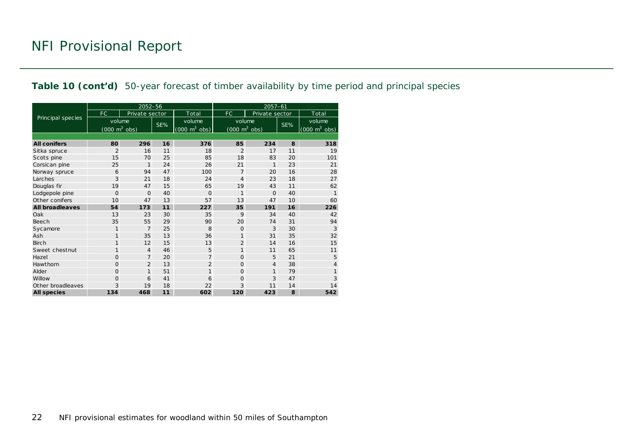#### **Table 10 (cont'd)** 50-year forecast of timber availability by time period and principal species

|                        |                                 | 2052-56        |     |                                     | $2057 - 61$                     |                |     |                                 |  |  |
|------------------------|---------------------------------|----------------|-----|-------------------------------------|---------------------------------|----------------|-----|---------------------------------|--|--|
|                        | FC.                             | Private sector |     | Total                               | FC.                             | Private sector |     | Total                           |  |  |
| Principal species      | volume                          |                | SE% | volume                              | volume                          |                | SE% | volume                          |  |  |
|                        | $(000 \text{ m}^3 \text{ obs})$ |                |     | $(000 \; \text{m}^3 \; \text{obs})$ | $(000 \text{ m}^3 \text{ obs})$ |                |     | $(000 \text{ m}^3 \text{ obs})$ |  |  |
|                        |                                 |                |     |                                     |                                 |                |     |                                 |  |  |
| <b>All conifers</b>    | 80                              | 296            | 16  | 376                                 | 85                              | 234            | 8   | 318                             |  |  |
| Sitka spruce           | $\overline{2}$                  | 16             | 11  | 18                                  | $\overline{2}$                  | 17             | 11  | 19                              |  |  |
| Scots pine             | 15                              | 70             | 25  | 85                                  | 18                              | 83             | 20  | 101                             |  |  |
| Corsican pine          | 25                              | $\mathbf{1}$   | 24  | 26                                  | 21                              | $\mathbf{1}$   | 23  | 21                              |  |  |
| Norway spruce          | 6                               | 94             | 47  | 100                                 | $\overline{7}$                  | 20             | 16  | 28                              |  |  |
| Larches                | 3                               | 21             | 18  | 24                                  | $\overline{4}$                  | 23             | 18  | 27                              |  |  |
| Douglas fir            | 19                              | 47             | 15  | 65                                  | 19                              | 43             | 11  | 62                              |  |  |
| Lodgepole pine         | $\mathbf 0$                     | $\Omega$       | 40  | $\Omega$                            | 1                               | $\Omega$       | 40  | 1                               |  |  |
| Other conifers         | 10                              | 47             | 13  | 57                                  | 13                              | 47             | 10  | 60                              |  |  |
| <b>All broadleaves</b> | 54                              | 173            | 11  | 227                                 | 35                              | 191            | 16  | 226                             |  |  |
| Oak                    | 13                              | 23             | 30  | 35                                  | 9                               | 34             | 40  | 42                              |  |  |
| Beech                  | 35                              | 55             | 29  | 90                                  | 20                              | 74             | 31  | 94                              |  |  |
| Sycamore               | $\mathbf{1}$                    | $\overline{7}$ | 25  | 8                                   | $\Omega$                        | 3              | 30  | 3                               |  |  |
| Ash                    | $\mathbf{1}$                    | 35             | 13  | 36                                  | $\mathbf{1}$                    | 31             | 35  | 32                              |  |  |
| <b>Birch</b>           | $\mathbf{1}$                    | 12             | 15  | 13                                  | $\overline{2}$                  | 14             | 16  | 15                              |  |  |
| Sweet chestnut         | $\mathbf{1}$                    | $\overline{4}$ | 46  | 5                                   | $\mathbf{1}$                    | 11             | 65  | 11                              |  |  |
| Hazel                  | 0                               | $\overline{7}$ | 20  | $\overline{7}$                      | $\Omega$                        | 5              | 21  | 5                               |  |  |
| Hawthorn               | $\overline{O}$                  | $\overline{2}$ | 13  | $\overline{2}$                      | $\Omega$                        | $\overline{4}$ | 38  | 4                               |  |  |
| Alder                  | 0                               | $\mathbf{1}$   | 51  | $\mathbf{1}$                        | $\Omega$                        | 1              | 79  |                                 |  |  |
| Willow                 | 0                               | 6              | 41  | 6                                   | $\Omega$                        | 3              | 47  | 3                               |  |  |
| Other broadleaves      | 3                               | 19             | 18  | 22                                  | 3                               | 11             | 14  | 14                              |  |  |
| <b>All species</b>     | 134                             | 468            | 11  | 602                                 | 120                             | 423            | 8   | 542                             |  |  |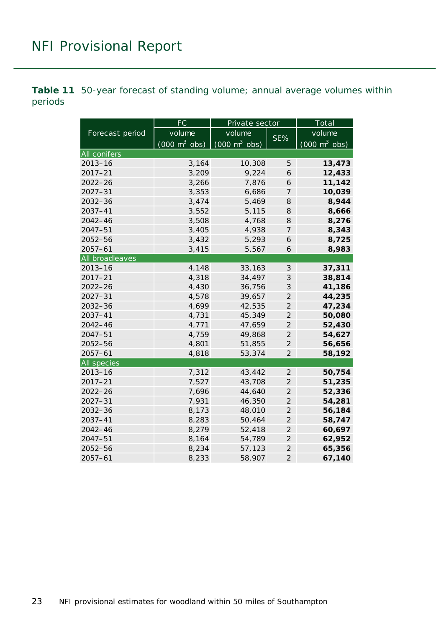<span id="page-22-0"></span>**Table 11** 50-year forecast of standing volume; annual average volumes within periods

|                    | FC                              | Private sector                  |                            | Total                           |  |  |
|--------------------|---------------------------------|---------------------------------|----------------------------|---------------------------------|--|--|
| Forecast period    | volume                          | volume                          | SE%                        | volume                          |  |  |
|                    | $(000 \text{ m}^3 \text{ obs})$ | $(000 \text{ m}^3 \text{ obs})$ |                            | $(000 \text{ m}^3 \text{ obs})$ |  |  |
| All conifers       |                                 |                                 |                            |                                 |  |  |
| $2013 - 16$        | 3,164                           | 10,308                          | 5                          | 13,473                          |  |  |
| $2017 - 21$        | 3,209                           | 9,224                           | 6                          | 12,433                          |  |  |
| $2022 - 26$        | 3,266                           | 7,876                           | 6                          | 11,142                          |  |  |
| $2027 - 31$        | 3,353                           | 6,686                           | $\overline{7}$             | 10,039                          |  |  |
| $2032 - 36$        | 3,474                           | 5,469                           | 8                          | 8,944                           |  |  |
| 2037-41            | 3,552                           | 5,115                           | 8                          | 8,666                           |  |  |
| $2042 - 46$        | 3,508                           | 4,768                           | 8                          | 8,276                           |  |  |
| 2047-51            | 3,405                           | 4,938                           | $\overline{7}$             | 8,343                           |  |  |
| $2052 - 56$        | 3,432                           | 5,293                           | 6                          | 8,725                           |  |  |
| $2057 - 61$        | 3,415                           | 5,567                           | 6                          | 8,983                           |  |  |
| All broadleaves    |                                 |                                 |                            |                                 |  |  |
| $2013 - 16$        | 4,148                           | 33,163                          | $\ensuremath{\mathcal{S}}$ | 37,311                          |  |  |
| $2017 - 21$        | 4,318                           | 34,497                          | 3                          | 38,814                          |  |  |
| $2022 - 26$        | 4,430                           | 36,756                          | 3                          | 41,186                          |  |  |
| $2027 - 31$        | 4,578                           | 39,657                          | $\overline{2}$             | 44,235                          |  |  |
| $2032 - 36$        | 4,699                           | 42,535                          | $\overline{2}$             | 47,234                          |  |  |
| 2037-41            | 4,731                           | 45,349                          | $\overline{2}$             | 50,080                          |  |  |
| $2042 - 46$        | 4,771                           | 47,659                          | $\overline{2}$             | 52,430                          |  |  |
| $2047 - 51$        | 4,759                           | 49,868                          | $\overline{2}$             | 54,627                          |  |  |
| $2052 - 56$        | 4,801                           | 51,855                          | $\overline{2}$             | 56,656                          |  |  |
| $2057 - 61$        | 4,818                           | 53,374                          | $\overline{2}$             | 58,192                          |  |  |
| <b>All species</b> |                                 |                                 |                            |                                 |  |  |
| $2013 - 16$        | 7,312                           | 43,442                          | $\overline{2}$             | 50,754                          |  |  |
| $2017 - 21$        | 7,527                           | 43,708                          | $\overline{2}$             | 51,235                          |  |  |
| $2022 - 26$        | 7,696                           | 44,640                          | $\overline{2}$             | 52,336                          |  |  |
| $2027 - 31$        | 7,931                           | 46,350                          | $\overline{2}$             | 54,281                          |  |  |
| 2032-36            | 8,173                           | 48,010                          | $\overline{2}$             | 56,184                          |  |  |
| 2037-41            | 8,283                           | 50,464                          | $\overline{2}$             | 58,747                          |  |  |
| $2042 - 46$        | 8,279                           | 52,418                          | $\overline{2}$             | 60,697                          |  |  |
| $2047 - 51$        | 8,164                           | 54,789                          | $\overline{2}$             | 62,952                          |  |  |
| 2052-56            | 8,234                           | 57,123                          | $\overline{a}$             | 65,356                          |  |  |
| $2057 - 61$        | 8,233                           | 58,907                          | $\overline{2}$             | 67,140                          |  |  |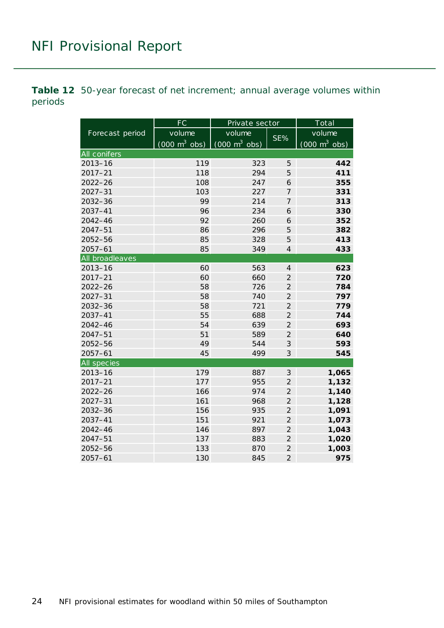<span id="page-23-0"></span>**Table 12** 50-year forecast of net increment; annual average volumes within periods

|                    | FC                              | Private sector                      |                | Total                           |  |
|--------------------|---------------------------------|-------------------------------------|----------------|---------------------------------|--|
| Forecast period    | volume                          | volume                              |                | volume                          |  |
|                    | $(000 \text{ m}^3 \text{ obs})$ | $(000 \; \text{m}^3 \; \text{obs})$ | SE%            | $(000 \text{ m}^3 \text{ obs})$ |  |
| All conifers       |                                 |                                     |                |                                 |  |
| $2013 - 16$        | 119                             | 323                                 | 5              | 442                             |  |
| $2017 - 21$        | 118                             | 294                                 | 5              | 411                             |  |
| $2022 - 26$        | 108                             | 247                                 | 6              | 355                             |  |
| $2027 - 31$        | 103                             | 227                                 | $\overline{7}$ | 331                             |  |
| 2032-36            | 99                              | 214                                 | $\overline{7}$ | 313                             |  |
| $2037 - 41$        | 96                              | 234                                 | 6              | 330                             |  |
| $2042 - 46$        | 92                              | 260                                 | 6              | 352                             |  |
| $2047 - 51$        | 86                              | 296                                 | 5              | 382                             |  |
| $2052 - 56$        | 85                              | 328                                 | 5              | 413                             |  |
| $2057 - 61$        | 85                              | 349                                 | $\overline{4}$ | 433                             |  |
| All broadleaves    |                                 |                                     |                |                                 |  |
| $2013 - 16$        | 60                              | 563                                 | $\overline{4}$ | 623                             |  |
| $2017 - 21$        | 60                              | 660                                 | $\overline{2}$ | 720                             |  |
| $2022 - 26$        | 58                              | 726                                 | $\overline{2}$ | 784                             |  |
| $2027 - 31$        | 58                              | 740                                 | $\overline{2}$ | 797                             |  |
| $2032 - 36$        | 58                              | 721                                 | $\overline{2}$ | 779                             |  |
| $2037 - 41$        | 55                              | 688                                 | $\overline{2}$ | 744                             |  |
| $2042 - 46$        | 54                              | 639                                 | $\overline{2}$ | 693                             |  |
| $2047 - 51$        | 51                              | 589                                 | $\overline{2}$ | 640                             |  |
| $2052 - 56$        | 49                              | 544                                 | 3              | 593                             |  |
| $2057 - 61$        | 45                              | 499                                 | 3              | 545                             |  |
| <b>All species</b> |                                 |                                     |                |                                 |  |
| $2013 - 16$        | 179                             | 887                                 | 3              | 1,065                           |  |
| $2017 - 21$        | 177                             | 955                                 | $\overline{2}$ | 1,132                           |  |
| $2022 - 26$        | 166                             | 974                                 | $\overline{2}$ | 1,140                           |  |
| $2027 - 31$        | 161                             | 968                                 | $\overline{2}$ | 1,128                           |  |
| $2032 - 36$        | 156                             | 935                                 | $\overline{2}$ | 1,091                           |  |
| $2037 - 41$        | 151                             | 921                                 | $\overline{c}$ | 1,073                           |  |
| $2042 - 46$        | 146                             | 897                                 | $\overline{2}$ | 1,043                           |  |
| $2047 - 51$        | 137                             | 883                                 | $\overline{2}$ | 1,020                           |  |
| $2052 - 56$        | 133                             | 870                                 | $\overline{a}$ | 1,003                           |  |
| $2057 - 61$        | 130                             | 845                                 | $\overline{2}$ | 975                             |  |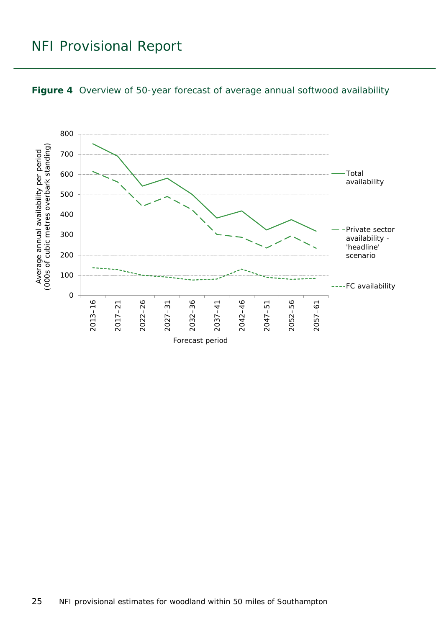

<span id="page-24-0"></span>

25 NFI provisional estimates for woodland within 50 miles of Southampton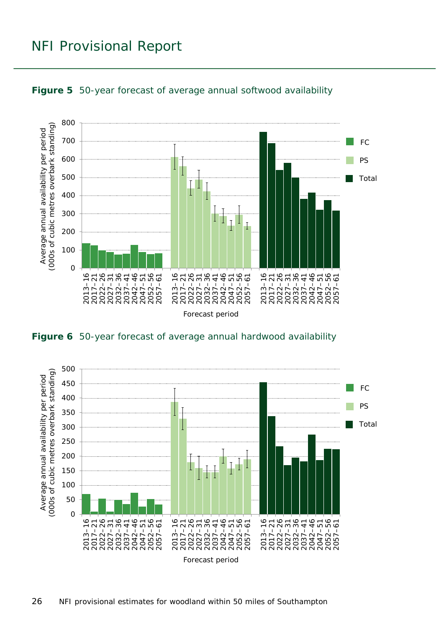

<span id="page-25-0"></span>

<span id="page-25-1"></span>

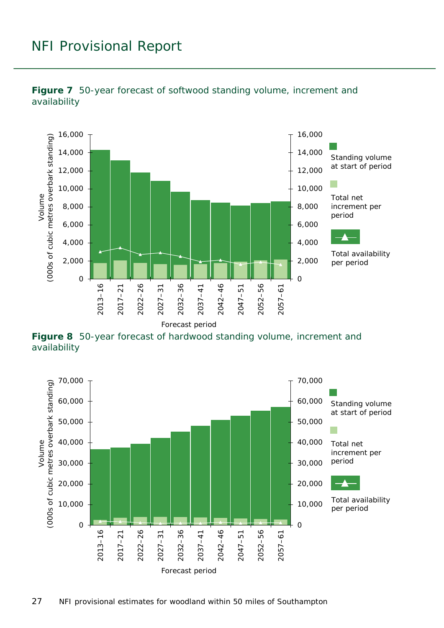

<span id="page-26-0"></span>

<span id="page-26-1"></span>**Figure 8** 50-year forecast of hardwood standing volume, increment and availability

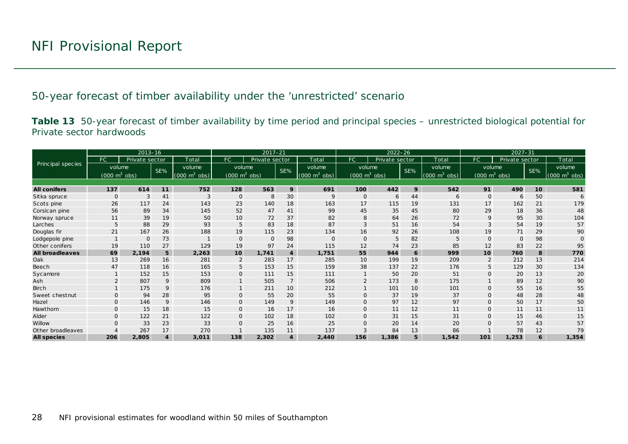50-year forecast of timber availability under the 'unrestricted' scenario

**Table 13** 50-year forecast of timber availability by time period and principal species – unrestricted biological potential for Private sector hardwoods

<span id="page-27-0"></span>

|                        |                                 | $2013 - 16$    |                |                                  |                                 | $2017 - 21$    |                 |                                 | $2022 - 26$                     |                |                 | $2027 - 31$                     |                                 |                |     |                                 |
|------------------------|---------------------------------|----------------|----------------|----------------------------------|---------------------------------|----------------|-----------------|---------------------------------|---------------------------------|----------------|-----------------|---------------------------------|---------------------------------|----------------|-----|---------------------------------|
|                        | FC                              | Private sector |                | Total                            | <b>FC</b>                       | Private sector |                 | Total                           | FC                              | Private sector |                 | Total                           | FC                              | Private sector |     | Total                           |
| Principal species      | volume                          |                | SE%            | volume                           | volume                          |                | SE%             | volume                          | volume                          |                | SE%             | volume                          | volume                          |                | SE% | volume                          |
|                        | $(000 \text{ m}^3 \text{ obs})$ |                |                | $(000 \; \text{m}^3)$<br>$\cosh$ | $(000 \text{ m}^3 \text{ obs})$ |                |                 | $(000 \text{ m}^3 \text{ obs})$ | $(000 \text{ m}^3 \text{ obs})$ |                |                 | $(000 \text{ m}^3 \text{ obs})$ | $(000 \text{ m}^3 \text{ obs})$ |                |     | $(000 \text{ m}^3 \text{ obs})$ |
|                        |                                 |                |                |                                  |                                 |                |                 |                                 |                                 |                |                 |                                 |                                 |                |     |                                 |
| <b>All conifers</b>    | 137                             | 614            | 11             | 752                              | 128                             | 563            | 9               | 691                             | 100                             | 442            | 9               | 542                             | 91                              | 490            | 10  | 581                             |
| Sitka spruce           | $\mathbf{O}$                    | 3              | 41             | 3                                | $\mathbf{O}$                    | 8              | 30              | 9                               | O                               | 6              | 44              | 6                               | $\mathbf{O}$                    | 6              | 50  |                                 |
| Scots pine             | 26                              | 117            | 24             | 143                              | 23                              | 140            | 18              | 163                             | 17                              | 115            | 19              | 131                             | 17                              | 162            | 21  | 179                             |
| Corsican pine          | 56                              | 89             | 34             | 145                              | 52                              | 47             | 41              | 99                              | 45                              | 35             | 45              | 80                              | 29                              | 18             | 36  | 48                              |
| Norway spruce          | 11                              | 39             | 19             | 50                               | 10                              | 72             | 37              | 82                              | 8                               | 64             | 26              | 72                              | 9                               | 95             | 30  | 104                             |
| Larches                | 5                               | 88             | 29             | 93                               | 5                               | 83             | 18              | 87                              | 3                               | 51             | 16              | 54                              |                                 | 54             | 19  | 57                              |
| Douglas fir            | 21                              | 167            | 26             | 188                              | 19                              | 115            | 23              | 134                             | 16                              | 92             | 26              | 108                             | 19                              | 71             | 29  | 90                              |
| Lodgepole pine         |                                 | $\Omega$       | 73             |                                  | $\Omega$                        | $\Omega$       | 98              | $\Omega$                        | O                               | 5              | 82              | 5                               | $\Omega$                        | $\Omega$       | 98  |                                 |
| Other conifers         | 19                              | 110            | 27             | 129                              | 19                              | 97             | 24              | 115                             | 12                              | 74             | 23              | 85                              | 12                              | 83             | 22  | 95                              |
| <b>All broadleaves</b> | 69                              | 2.194          | 5 <sup>5</sup> | 2,263                            | 10                              | 1,741          | 4               | 1,751                           | 55                              | 944            | 6               | 999                             | 10                              | 760            | 8   | 770                             |
| Oak                    | 13                              | 269            | 16             | 281                              | $\overline{2}$                  | 283            | 17              | 285                             | 10                              | 199            | 19              | 209                             |                                 | 212            | 13  | 214                             |
| Beech                  | 47                              | 118            | 16             | 165                              | 5                               | 153            | 15              | 159                             | 38                              | 137            | 22              | 176                             |                                 | 129            | 30  | 134                             |
| Sycamore               |                                 | 152            | 15             | 153                              | $\mathsf{O}$                    | 111            | 15              | 111                             |                                 | 50             | 20              | 51                              | $\Omega$                        | 20             | 13  | 20                              |
| Ash                    |                                 | 807            | 9              | 809                              |                                 | 505            | $\overline{7}$  | 506                             | $\overline{2}$                  | 173            | 8               | 175                             |                                 | 89             | 12  | 90                              |
| <b>Birch</b>           |                                 | 175            | 9              | 176                              |                                 | 211            | 10 <sup>°</sup> | 212                             |                                 | 101            | 10 <sup>°</sup> | 101                             | $\mathbf{O}$                    | 55             | 16  | 55                              |
| Sweet chestnut         | $\Omega$                        | 94             | 28             | 95                               | $\mathbf{O}$                    | 55             | 20              | 55                              | O                               | 37             | 19              | 37                              | $\Omega$                        | 48             | 28  | 48                              |
| Hazel                  | $\Omega$                        | 146            | 9              | 146                              | $\mathbf{O}$                    | 149            | 9               | 149                             | $\Omega$                        | 97             | 12              | 97                              | $\Omega$                        | 50             | 17  | 50                              |
| Hawthorn               | $\mathbf{O}$                    | 15             | 18             | 15                               | $\overline{O}$                  | 16             | 17              | 16                              | $\Omega$                        | 11             | 12              | 11                              | $\mathbf{O}$                    | 11             | 11  | 11                              |
| Alder                  | $\mathbf{O}$                    | 122            | 21             | 122                              | $\overline{O}$                  | 102            | 18              | 102                             | $\mathsf{O}$                    | 31             | 15              | 31                              | $\Omega$                        | 15             | 46  | 15                              |
| Willow                 | $\Omega$                        | 33             | 23             | 33                               | $\Omega$                        | 25             | 16              | 25                              | Ω                               | 20             | 14              | 20                              |                                 | 57             | 43  | 57                              |
| Other broadleaves      |                                 | 267            | 17             | 270                              |                                 | 135            | 11              | 137                             | 3                               | 84             | 13              | 86                              |                                 | 78             | 12  | 79                              |
| <b>All species</b>     | 206                             | 2,805          | $\overline{4}$ | 3,011                            | 138                             | 2,302          | 4               | 2,440                           | 156                             | 1,386          | 5               | 1,542                           | 101                             | 1,253          |     | 1,354                           |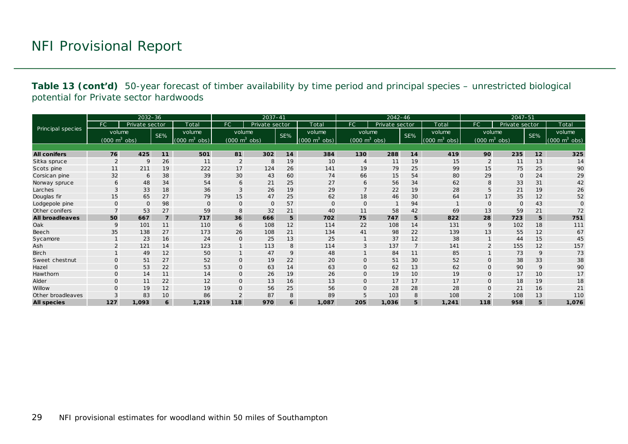**Table 13 (cont'd)** 50-year forecast of timber availability by time period and principal species – unrestricted biological potential for Private sector hardwoods

|                        |                                 | $2032 - 36$    |                 |                             |                                 | $2037 - 41$    |     |                                 |                                 | 2042-46        |                 |                                     |                                 | $2047 - 51$    |     |                                 |
|------------------------|---------------------------------|----------------|-----------------|-----------------------------|---------------------------------|----------------|-----|---------------------------------|---------------------------------|----------------|-----------------|-------------------------------------|---------------------------------|----------------|-----|---------------------------------|
|                        | FC.                             | Private sector |                 | Total                       | <b>FC</b>                       | Private sector |     | Total                           | FC.                             | Private sector |                 | Total                               | FC.                             | Private sector |     | Total                           |
| Principal species      | volume                          |                | SE%             | volume                      | volume                          |                | SE% | volume                          | volume                          |                | SE%             | volume                              | volume                          |                | SE% | volume                          |
|                        | $(000 \text{ m}^3 \text{ obs})$ |                |                 | $(000 \text{ m}^3)$<br>obs) | $(000 \text{ m}^3 \text{ obs})$ |                |     | $(000 \text{ m}^3 \text{ obs})$ | $(000 \text{ m}^3 \text{ obs})$ |                |                 | $(000 \; \text{m}^3 \; \text{obs})$ | $(000 \text{ m}^3 \text{ obs})$ |                |     | $(000 \text{ m}^3 \text{ obs})$ |
|                        |                                 |                |                 |                             |                                 |                |     |                                 |                                 |                |                 |                                     |                                 |                |     |                                 |
| <b>All conifers</b>    | 76                              | 425            | 11              | 501                         | 81                              | 302            | 14  | 384                             | 130                             | 288            | 14              | 419                                 | 90                              | 235            | 12  | 325                             |
| Sitka spruce           | 2                               | $\mathsf{Q}$   | 26              | 11                          | $\overline{2}$                  | 8              | 19  | 10                              |                                 | 11             | 19              | 15                                  |                                 | 11             | 13  | 14                              |
| Scots pine             | 11                              | 211            | 19              | 222                         | 17                              | 124            | 26  | 141                             | 19                              | 79             | 25              | 99                                  | 15                              | 75             | 25  | 90                              |
| Corsican pine          | 32                              | 6              | 38              | 39                          | 30                              | 43             | 60  | 74                              | 66                              | 15             | 54              | 80                                  | 29                              | $\mathbf 0$    | 24  | 29                              |
| Norway spruce          | 6                               | 48             | 34              | 54                          | 6                               | 21             | 25  | 27                              | 6                               | 56             | 34              | 62                                  | 8                               | 33             | 31  | 42                              |
| Larches                | 3                               | 33             | 18              | 36                          | 3                               | 26             | 19  | 29                              |                                 | 22             | 19              | 28                                  | 5                               | 21             | 19  | 26                              |
| Douglas fir            | 15                              | 65             | 27              | 79                          | 15                              | 47             | 25  | 62                              | 18                              | 46             | 30              | 64                                  | 17                              | 35             | 12  | 52                              |
| Lodgepole pine         | $\Omega$                        | $\mathbf{O}$   | 98              | $\mathbf{O}$                | $\mathbf{O}$                    | $\mathbf 0$    | 57  | $\mathbf{O}$                    | O                               |                | 94              |                                     | $\Omega$                        | $\circ$        | 43  | $\Omega$                        |
| Other conifers         |                                 | 53             | 27              | 59                          | 8                               | 32             | 21  | 40                              | 11                              | 58             | 42              | 69                                  | 13                              | 59             | 21  | 72                              |
| <b>All broadleaves</b> | 50                              | 667            | $\overline{7}$  | 717                         | 36                              | 666            | 5   | 702                             | 75                              | 747            | 5               | 822                                 | 28                              | 723            | 5   | 751                             |
| Oak                    | 9                               | 101            | 11              | 110                         | 6                               | 108            | 12  | 114                             | 22                              | 108            | 14              | 131                                 | 9                               | 102            | 18  | 111                             |
| <b>Beech</b>           | 35                              | 138            | 27              | 173                         | 26                              | 108            | 21  | 134                             | 41                              | 98             | 22              | 139                                 | 13                              | 55             | 12  | 67                              |
| Sycamore               |                                 | 23             | 16              | 24                          | $\mathbf 0$                     | 25             | 13  | 25                              |                                 | 37             | 12              | 38                                  |                                 | 44             | 15  | 45                              |
| Ash                    | $\overline{2}$                  | 121            | 14              | 123                         | $\mathbf{1}$                    | 113            | 8   | 114                             | 3                               | 137            | $\overline{7}$  | 141                                 | $\overline{2}$                  | 155            | 12  | 157                             |
| <b>Birch</b>           |                                 | 49             | 12              | 50                          | $\mathbf{1}$                    | 47             | 9   | 48                              |                                 | 84             | 11              | 85                                  |                                 | 73             | 9   | 73                              |
| Sweet chestnut         | $\mathbf{O}$                    | 51             | 27              | 52                          | $\mathbf 0$                     | 19             | 22  | 20                              | $\Omega$                        | 51             | 30              | 52                                  | $\mathbf{O}$                    | 38             | 33  | 38                              |
| Hazel                  | $\Omega$                        | 53             | 22              | 53                          | $\mathbf 0$                     | 63             | 14  | 63                              | $\mathbf{O}$                    | 62             | 13              | 62                                  | $\Omega$                        | 90             | 9   | 90                              |
| Hawthorn               | $\mathbf{O}$                    | 14             | 11              | 14                          | $\mathbf 0$                     | 26             | 19  | 26                              | $\mathsf{O}$                    | 19             | 10 <sup>°</sup> | 19                                  | $\Omega$                        | 17             | 10  | 17                              |
| Alder                  | $\Omega$                        | 11             | 22              | 12                          | $\mathbf 0$                     | 13             | 16  | 13                              | $\Omega$                        | 17             | 17              | 17                                  | $\Omega$                        | 18             | 19  | 18                              |
| Willow                 | $\Omega$                        | 19             | 12              | 19                          | $\mathbf 0$                     | 56             | 25  | 56                              | 0                               | 28             | 28              | 28                                  | $\Omega$                        | 21             | 16  | 21                              |
| Other broadleaves      | 3                               | 83             | 10 <sup>°</sup> | 86                          | $\overline{2}$                  | 87             | 8   | 89                              | 5                               | 103            | 8               | 108                                 | $\overline{2}$                  | 108            | 13  | 110                             |
| <b>All species</b>     | 127                             | 1,093          | 6               | 1,219                       | 118                             | 970            | 6   | 1,087                           | 205                             | 1,036          | 5               | 1,241                               | 118                             | 958            | 5   | 1,076                           |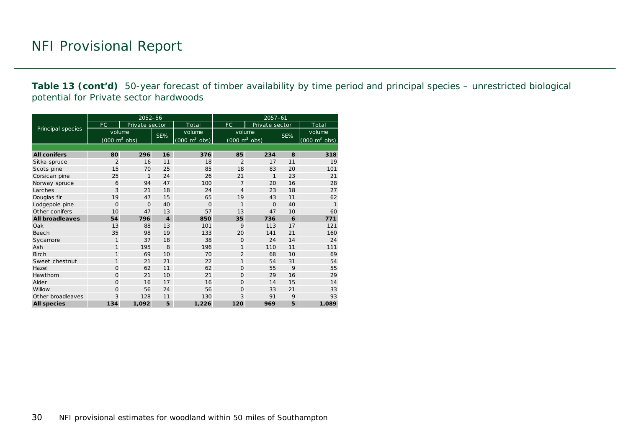**Table 13 (cont'd)** 50-year forecast of timber availability by time period and principal species – unrestricted biological potential for Private sector hardwoods

|                        |                                     | 2052-56        |                  |                                 | $2057 - 61$                         |                |     |                                 |  |  |
|------------------------|-------------------------------------|----------------|------------------|---------------------------------|-------------------------------------|----------------|-----|---------------------------------|--|--|
|                        | FC.                                 | Private sector |                  | Total                           | FC                                  | Private sector |     | Total                           |  |  |
| Principal species      | volume                              |                |                  | volume                          | volume                              |                |     | volume                          |  |  |
|                        | $(000 \; \text{m}^3 \; \text{obs})$ |                | SE%              | $(000 \text{ m}^3 \text{ obs})$ | $(000 \; \text{m}^3 \; \text{obs})$ |                | SE% | $(000 \text{ m}^3 \text{ obs})$ |  |  |
|                        |                                     |                |                  |                                 |                                     |                |     |                                 |  |  |
| <b>All conifers</b>    | 80                                  | 296            | 16               | 376                             | 85                                  | 234            | 8   | 318                             |  |  |
| Sitka spruce           | $\overline{2}$                      | 16             | 11               | 18                              | $\overline{2}$                      | 17             | 11  | 19                              |  |  |
| Scots pine             | 15                                  | 70             | 25               | 85                              | 18                                  | 83             | 20  | 101                             |  |  |
| Corsican pine          | 25                                  | $\mathbf{1}$   | 24               | 26                              | 21                                  | $\mathbf{1}$   | 23  | 21                              |  |  |
| Norway spruce          | 6                                   | 94             | 47               | 100                             | $\overline{7}$                      | 20             | 16  | 28                              |  |  |
| Larches                | 3                                   | 21             | 18               | 24                              | $\overline{4}$                      | 23             | 18  | 27                              |  |  |
| Douglas fir            | 19                                  | 47             | 15               | 65                              | 19                                  | 43             | 11  | 62                              |  |  |
| Lodgepole pine         | $\Omega$                            | $\Omega$       | 40               | $\Omega$                        | 1                                   | $\Omega$       | 40  | $\mathbf{1}$                    |  |  |
| Other conifers         | 10                                  | 47             | 13               | 57                              | 13                                  | 47             | 10  | 60                              |  |  |
| <b>All broadleaves</b> | 54                                  | 796            | $\boldsymbol{4}$ | 850                             | 35                                  | 736            | 6   | 771                             |  |  |
| Oak                    | 13                                  | 88             | 13               | 101                             | 9                                   | 113            | 17  | 121                             |  |  |
| Beech                  | 35                                  | 98             | 19               | 133                             | 20                                  | 141            | 21  | 160                             |  |  |
| Sycamore               | $\mathbf{1}$                        | 37             | 18               | 38                              | $\Omega$                            | 24             | 14  | 24                              |  |  |
| Ash                    | $\mathbf{1}$                        | 195            | 8                | 196                             | 1                                   | 110            | 11  | 111                             |  |  |
| <b>Birch</b>           | $\mathbf{1}$                        | 69             | 10               | 70                              | $\overline{2}$                      | 68             | 10  | 69                              |  |  |
| Sweet chestnut         | $\mathbf{1}$                        | 21             | 21               | 22                              | $\mathbf{1}$                        | 54             | 31  | 54                              |  |  |
| Hazel                  | 0                                   | 62             | 11               | 62                              | $\Omega$                            | 55             | 9   | 55                              |  |  |
| Hawthorn               | $\Omega$                            | 21             | 10               | 21                              | $\Omega$                            | 29             | 16  | 29                              |  |  |
| Alder                  | 0                                   | 16             | 17               | 16                              | $\Omega$                            | 14             | 15  | 14                              |  |  |
| Willow                 | 0                                   | 56             | 24               | 56                              | $\Omega$                            | 33             | 21  | 33                              |  |  |
| Other broadleaves      | 3                                   | 128            | 11               | 130                             | 3                                   | 91             | 9   | 93                              |  |  |
| <b>All species</b>     | 134                                 | 1,092          | 5                | 1,226                           | 120                                 | 969            | 5   | 1,089                           |  |  |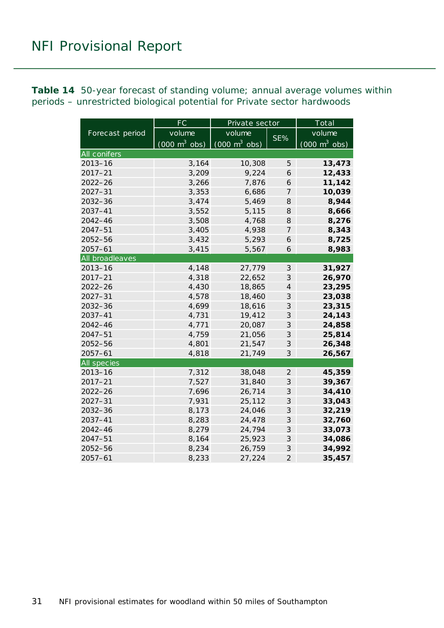<span id="page-30-0"></span>**Table 14** 50-year forecast of standing volume; annual average volumes within periods – unrestricted biological potential for Private sector hardwoods

|                     | <b>FC</b>                       | Private sector                  |                             | Total                           |  |  |
|---------------------|---------------------------------|---------------------------------|-----------------------------|---------------------------------|--|--|
| Forecast period     | volume                          | volume                          |                             | volume                          |  |  |
|                     | $(000 \text{ m}^3 \text{ obs})$ | $(000 \text{ m}^3 \text{ obs})$ | SE%                         | $(000 \text{ m}^3 \text{ obs})$ |  |  |
| <b>All conifers</b> |                                 |                                 |                             |                                 |  |  |
| $2013 - 16$         | 3,164                           | 10,308                          | 5                           | 13,473                          |  |  |
| $2017 - 21$         | 3,209                           | 9,224                           | 6                           | 12,433                          |  |  |
| $2022 - 26$         | 3,266                           | 7,876                           | 6                           | 11,142                          |  |  |
| $2027 - 31$         | 3,353                           | 6,686                           | $\overline{7}$              | 10,039                          |  |  |
| 2032-36             | 3,474                           | 5,469                           | 8                           | 8,944                           |  |  |
| $2037 - 41$         | 3,552                           | 5,115                           | 8                           | 8,666                           |  |  |
| $2042 - 46$         | 3,508                           | 4,768                           | 8                           | 8,276                           |  |  |
| $2047 - 51$         | 3,405                           | 4,938                           | $\overline{7}$              | 8,343                           |  |  |
| 2052-56             | 3,432                           | 5,293                           | 6                           | 8,725                           |  |  |
| $2057 - 61$         | 3,415                           | 5,567                           | 6                           | 8,983                           |  |  |
| All broadleaves     |                                 |                                 |                             |                                 |  |  |
| $2013 - 16$         | 4,148                           | 27,779                          | $\mathcal{S}$               | 31,927                          |  |  |
| $2017 - 21$         | 4,318                           | 22,652                          | 3                           | 26,970                          |  |  |
| $2022 - 26$         | 4,430                           | 18,865                          | $\overline{4}$              | 23,295                          |  |  |
| $2027 - 31$         | 4,578                           | 18,460                          | 3                           | 23,038                          |  |  |
| 2032-36             | 4,699                           | 18,616                          | 3                           | 23,315                          |  |  |
| 2037-41             | 4,731                           | 19,412                          | 3                           | 24,143                          |  |  |
| 2042-46             | 4,771                           | 20,087                          | 3                           | 24,858                          |  |  |
| $2047 - 51$         | 4,759                           | 21,056                          | $\ensuremath{\mathcal{S}}$  | 25,814                          |  |  |
| $2052 - 56$         | 4,801                           | 21,547                          | 3                           | 26,348                          |  |  |
| $2057 - 61$         | 4,818                           | 21,749                          | 3                           | 26,567                          |  |  |
| All species         |                                 |                                 |                             |                                 |  |  |
| $2013 - 16$         | 7,312                           | 38,048                          | $\overline{2}$              | 45,359                          |  |  |
| $2017 - 21$         | 7,527                           | 31,840                          | $\mathcal S$                | 39,367                          |  |  |
| $2022 - 26$         | 7,696                           | 26,714                          | 3                           | 34,410                          |  |  |
| $2027 - 31$         | 7,931                           | 25,112                          | 3                           | 33,043                          |  |  |
| 2032-36             | 8,173                           | 24,046                          | $\mathcal{S}_{\mathcal{S}}$ | 32,219                          |  |  |
| 2037-41             | 8,283                           | 24,478                          | 3                           | 32,760                          |  |  |
| $2042 - 46$         | 8,279                           | 24,794                          | $\mathcal{S}_{\mathcal{S}}$ | 33,073                          |  |  |
| 2047-51             | 8,164                           | 25,923                          | $\mathcal{S}_{\mathcal{S}}$ | 34,086                          |  |  |
| 2052-56             | 8,234                           | 26,759                          | 3                           | 34,992                          |  |  |
| $2057 - 61$         | 8,233                           | 27,224                          | $\overline{2}$              | 35,457                          |  |  |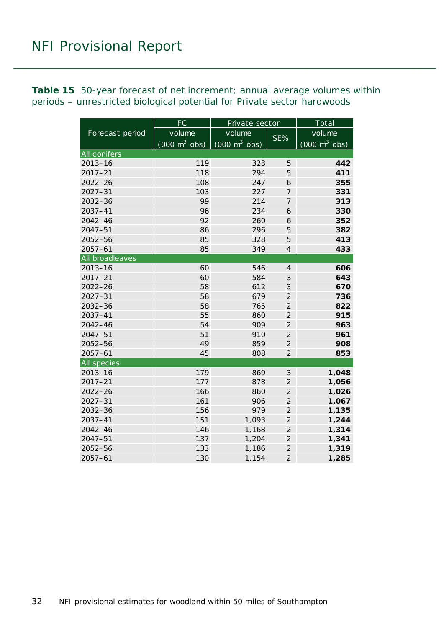<span id="page-31-0"></span>**Table 15** 50-year forecast of net increment; annual average volumes within periods – unrestricted biological potential for Private sector hardwoods

|                 | $\overline{\mathsf{FC}}$        | Private sector                      |                | Total                           |  |  |
|-----------------|---------------------------------|-------------------------------------|----------------|---------------------------------|--|--|
| Forecast period | volume                          | volume                              | SE%            | volume                          |  |  |
|                 | $(000 \text{ m}^3 \text{ obs})$ | $(000 \; \text{m}^3 \; \text{obs})$ |                | $(000 \text{ m}^3 \text{ obs})$ |  |  |
| All conifers    |                                 |                                     |                |                                 |  |  |
| $2013 - 16$     | 119                             | 323                                 | 5              | 442                             |  |  |
| $2017 - 21$     | 118                             | 294                                 | 5              | 411                             |  |  |
| $2022 - 26$     | 108                             | 247                                 | 6              | 355                             |  |  |
| $2027 - 31$     | 103                             | 227                                 | $\overline{7}$ | 331                             |  |  |
| 2032-36         | 99                              | 214                                 | $\overline{7}$ | 313                             |  |  |
| 2037-41         | 96                              | 234                                 | 6              | 330                             |  |  |
| 2042-46         | 92                              | 260                                 | 6              | 352                             |  |  |
| $2047 - 51$     | 86                              | 296                                 | 5              | 382                             |  |  |
| 2052-56         | 85                              | 328                                 | 5              | 413                             |  |  |
| $2057 - 61$     | 85                              | 349                                 | $\overline{4}$ | 433                             |  |  |
| All broadleaves |                                 |                                     |                |                                 |  |  |
| $2013 - 16$     | 60                              | 546                                 | $\overline{4}$ | 606                             |  |  |
| $2017 - 21$     | 60                              | 584                                 | 3              | 643                             |  |  |
| $2022 - 26$     | 58                              | 612                                 | 3              | 670                             |  |  |
| $2027 - 31$     | 58                              | 679                                 | $\overline{2}$ | 736                             |  |  |
| 2032-36         | 58                              | 765                                 | $\overline{2}$ | 822                             |  |  |
| $2037 - 41$     | 55                              | 860                                 | $\overline{2}$ | 915                             |  |  |
| 2042-46         | 54                              | 909                                 | $\overline{2}$ | 963                             |  |  |
| $2047 - 51$     | 51                              | 910                                 | $\overline{2}$ | 961                             |  |  |
| $2052 - 56$     | 49                              | 859                                 | $\overline{2}$ | 908                             |  |  |
| $2057 - 61$     | 45                              | 808                                 | $\overline{2}$ | 853                             |  |  |
| All species     |                                 |                                     |                |                                 |  |  |
| $2013 - 16$     | 179                             | 869                                 | $\mathfrak{Z}$ | 1,048                           |  |  |
| $2017 - 21$     | 177                             | 878                                 | $\overline{2}$ | 1,056                           |  |  |
| $2022 - 26$     | 166                             | 860                                 | $\overline{2}$ | 1,026                           |  |  |
| $2027 - 31$     | 161                             | 906                                 | $\overline{2}$ | 1,067                           |  |  |
| 2032-36         | 156                             | 979                                 | $\overline{2}$ | 1,135                           |  |  |
| $2037 - 41$     | 151                             | 1,093                               | $\overline{c}$ | 1,244                           |  |  |
| $2042 - 46$     | 146                             | 1,168                               | $\overline{c}$ | 1,314                           |  |  |
| $2047 - 51$     | 137                             | 1,204                               | $\overline{c}$ | 1,341                           |  |  |
| 2052-56         | 133                             | 1,186                               | $\overline{a}$ | 1,319                           |  |  |
| $2057 - 61$     | 130                             | 1,154                               | $\overline{2}$ | 1,285                           |  |  |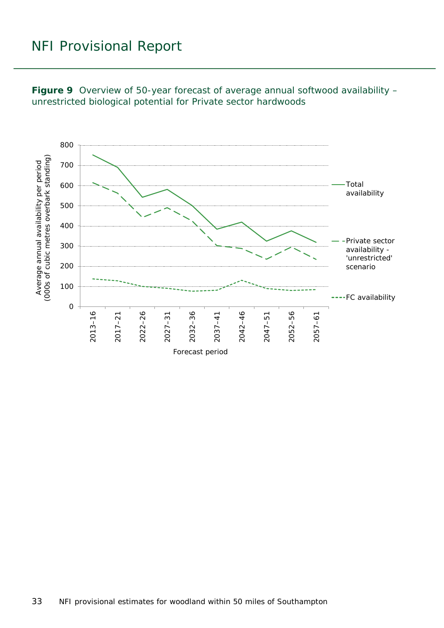

<span id="page-32-0"></span>**Figure 9** Overview of 50-year forecast of average annual softwood availability – unrestricted biological potential for Private sector hardwoods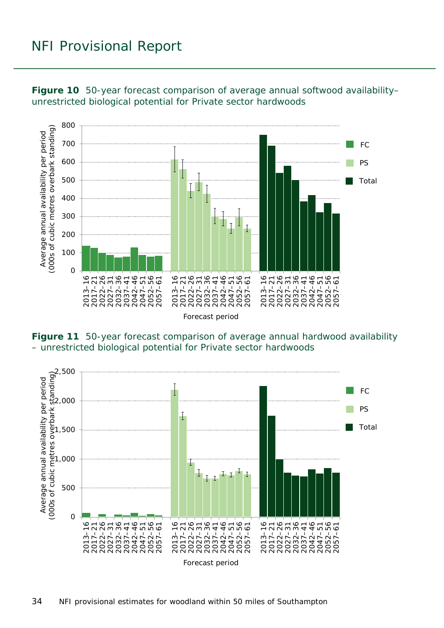

<span id="page-33-0"></span>**Figure 10** 50-year forecast comparison of average annual softwood availability– unrestricted biological potential for Private sector hardwoods

<span id="page-33-1"></span>**Figure 11** 50-year forecast comparison of average annual hardwood availability – unrestricted biological potential for Private sector hardwoods

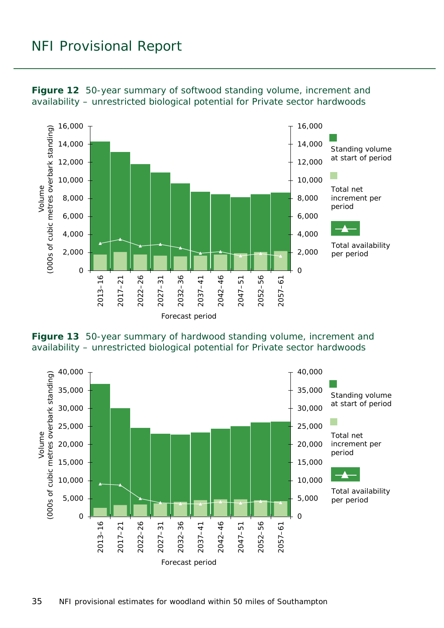

<span id="page-34-0"></span>**Figure 12** 50-year summary of softwood standing volume, increment and availability – unrestricted biological potential for Private sector hardwoods

<span id="page-34-1"></span>

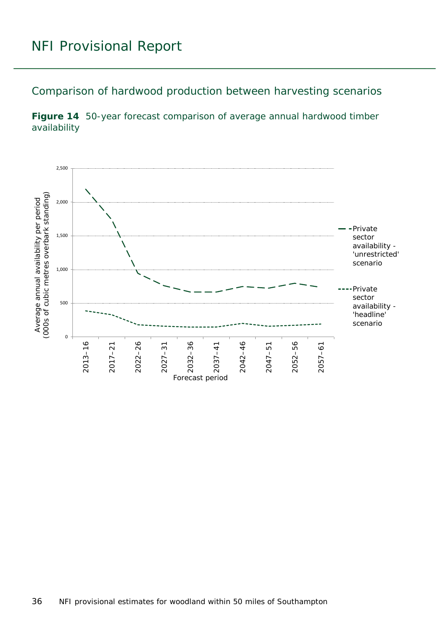Comparison of hardwood production between harvesting scenarios

<span id="page-35-0"></span>**Figure 14** 50-year forecast comparison of average annual hardwood timber availability

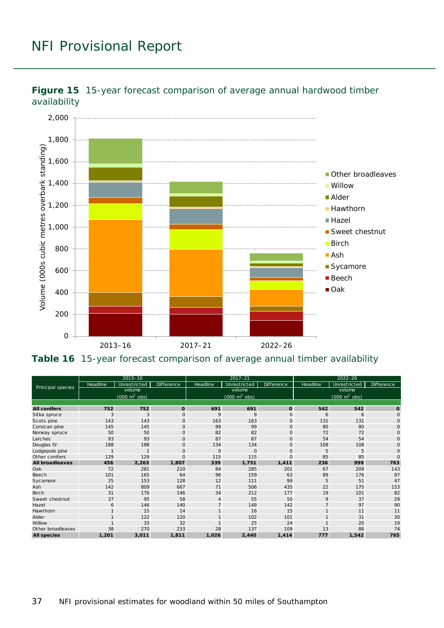

<span id="page-36-0"></span>**Figure 15** 15-year forecast comparison of average annual hardwood timber availability

<span id="page-36-1"></span>**Table 16** 15-year forecast comparison of average annual timber availability

| Principal species      | $2013 - 16$                         |              |             | $2017 - 21$                     |              |                   | $2022 - 26$                     |              |              |
|------------------------|-------------------------------------|--------------|-------------|---------------------------------|--------------|-------------------|---------------------------------|--------------|--------------|
|                        | Headline                            | Unrestricted | Difference  | Headline                        | Unrestricted | <b>Difference</b> | Headline                        | Unrestricted | Difference   |
|                        | volume                              |              |             | volume                          |              |                   | volume                          |              |              |
|                        | $(000 \; \text{m}^3 \; \text{obs})$ |              |             | $(000 \text{ m}^3 \text{ obs})$ |              |                   | $(000 \text{ m}^3 \text{ obs})$ |              |              |
|                        |                                     |              |             |                                 |              |                   |                                 |              |              |
| <b>All conifers</b>    | 752                                 | 752          | O           | 691                             | 691          | $\mathbf{o}$      | 542                             | 542          | $\mathbf{o}$ |
| Sitka spruce           | 3                                   | 3            | $\circ$     | 9                               | 9            | $\mathbf 0$       | 6                               | 6            | $\mathsf{O}$ |
| Scots pine             | 143                                 | 143          | $\circ$     | 163                             | 163          | $\mathsf{O}$      | 131                             | 131          | $\circ$      |
| Corsican pine          | 145                                 | 145          | $\circ$     | 99                              | 99           | $\mathsf{O}$      | 80                              | 80           | $\mathsf{O}$ |
| Norway spruce          | 50                                  | 50           | $\mathbf 0$ | 82                              | 82           | $\mathsf{O}$      | 72                              | 72           | $\mathsf{O}$ |
| Larches                | 93                                  | 93           | $\mathbf 0$ | 87                              | 87           | $\mathsf{O}$      | 54                              | 54           | $\circ$      |
| Douglas fir            | 188                                 | 188          | $\circ$     | 134                             | 134          | $\mathsf O$       | 108                             | 108          | $\mathbf 0$  |
| Lodgepole pine         | 1                                   | $\mathbf{1}$ | $\Omega$    | $\circ$                         | $\mathbf{O}$ | $\mathbf{O}$      | 5                               | 5            | $\mathbf 0$  |
| Other conifers         | 129                                 | 129          | $\Omega$    | 115                             | 115          | $\mathbf 0$       | 85                              | 85           | $\Omega$     |
| <b>All broadleaves</b> | 456                                 | 2,263        | 1,807       | 339                             | 1,751        | 1,411             | 236                             | 999          | 763          |
| Oak                    | 72                                  | 281          | 210         | 84                              | 285          | 201               | 67                              | 209          | 143          |
| Beech                  | 101                                 | 165          | 64          | 96                              | 159          | 63                | 89                              | 176          | 87           |
| Sycamore               | 25                                  | 153          | 128         | 12                              | 111          | 99                | 5                               | 51           | 47           |
| Ash                    | 142                                 | 809          | 667         | 71                              | 506          | 435               | 22                              | 175          | 153          |
| <b>Birch</b>           | 31                                  | 176          | 146         | 34                              | 212          | 177               | 19                              | 101          | 82           |
| Sweet chestnut         | 37                                  | 95           | 58          | $\overline{4}$                  | 55           | 50                | 9                               | 37           | 29           |
| Hazel                  | 6                                   | 146          | 140         | $\overline{7}$                  | 149          | 142               | $\overline{7}$                  | 97           | 90           |
| Hawthorn               |                                     | 15           | 14          |                                 | 16           | 15                | $\mathbf{1}$                    | 11           | 11           |
| Alder                  |                                     | 122          | 120         |                                 | 102          | 101               |                                 | 31           | 30           |
| Willow                 |                                     | 33           | 32          |                                 | 25           | 24                |                                 | 20           | 19           |
| Other broadleaves      | 38                                  | 270          | 233         | 28                              | 137          | 109               | 13                              | 86           | 74           |
| <b>All species</b>     | 1,201                               | 3,011        | 1,811       | 1,026                           | 2,440        | 1,414             | 777                             | 1,542        | 765          |